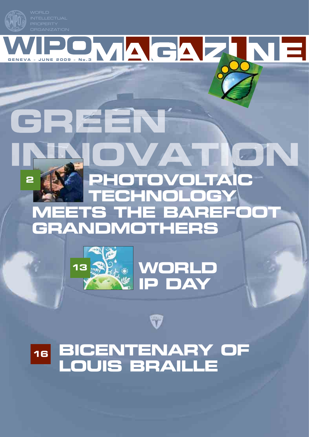

WIPOMAGA



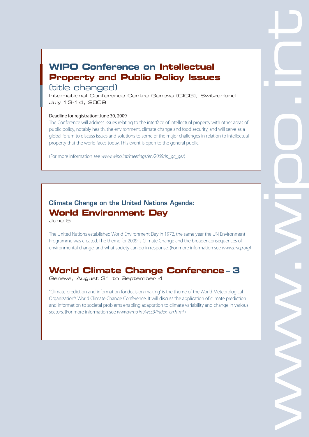## **WIPO Conference on Intellectual Property and Public Policy Issues**

## (title changed)

International Conference Centre Geneva (CICG), Switzerland July 13-14, 2009

#### Deadline for registration: June 30, 2009

The Conference will address issues relating to the interface of intellectual property with other areas of public policy, notably health, the environment, climate change and food security, and will serve as a global forum to discuss issues and solutions to some of the major challenges in relation to intellectual property that the world faces today. This event is open to the general public.

(For more information see www.wipo.int/meetings/en/2009/ip\_gc\_ge/)

## **Climate Change on the United Nations Agenda: World Environment Day**

June 5

The United Nations established World Environment Day in 1972, the same year the UN Environment Programme was created. The theme for 2009 is Climate Change and the broader consequences of environmental change, and what society can do in response. (For more information see www.unep.org)

## **World Climate Change Conference – 3**

Geneva, August 31 to September 4

"Climate prediction and information for decision-making" is the theme of the World Meteorological Organization's World Climate Change Conference. It will discuss the application of climate prediction and information to societal problems enabling adaptation to climate variability and change in various sectors. (For more information see www.wmo.int/wcc3/index\_en.html.)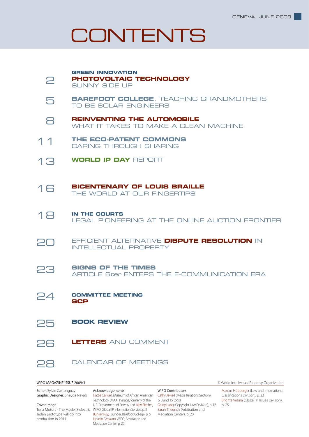## CONTENTS



**Editor:** Sylvie Castonguay Graphic Designer: Sheyda Navab

#### Cover image

sedan prototype will go into production in 2011.

Tesla Motors - The Model S electric WIPO, Global IP Information Service, p. 2 Acknowledgements Hattie Carwell, Museum of African American Cathy Jewell (Media Relations Section), Technology (MAAT) Village, formerly of the U.S. Department of Energy and Alex Riechel, Bunker Roy, Founder, Barefoot College, p. 5 Ignacio Decastro, WIPO, Arbitration and Mediation Center, p. 20

WIPO Contributors p. 8 and 15 (box) Geidy Lung (Copyright Law Division), p. 16 Sarah Theurich (Arbitration and Mediation Center), p. 20

WIPO MAGAZINE ISSUE 2009/3 © World Intellectual Property Organization

Marcus Höpperger (Law and International Classifications Division), p. 23 Brigitte Vezina (Global IP Issues Division), p. 25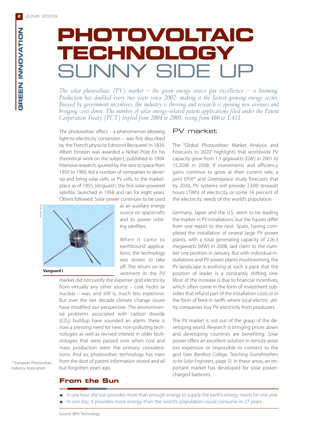**GREEN INNOVATION**

GREEN INNOVATION

# **PHOTOVOLTAIC TECHNOLOGY** SUNNY SIDE I I

*The solar photovoltaic (PV) market – the green energy source par excellence – is booming. Production has doubled every two years since 2002, making it the fastest-growing energy sector. Buoyed by government incentives, the industry is thriving and research is opening new avenues and bringing costs down. The number of solar energy-related patent applications filed under the Patent Cooperation Treaty (PCT) tripled from 2004 to 2008, rising from 460 to 1,411.*

The photovoltaic effect – a phenomenon allowing light-to-electricity conversion – was first described by the French physicist Edmond Becquerel in 1839. Albert Einstein was awarded a Nobel Prize for his theoretical work on the subject, published in 1904. Intensive research, spurred by the race to space from 1950 to 1969, led a number of companies to develop and bring solar cells, or PV cells, to the marketplace as of 1955. Vanguard I, the first solar-powered satellite, launched in 1958 and ran for eight years. Others followed. Solar power continues to be used



**Vanguard I**

as an auxiliary energy source on spacecrafts and to power orbiting satellites.

When it came to earthbound applications, the technology was slower to take off. The return on investment in the PV

market did not justify the expense: grid electricity from virtually any other source – coal, hydro or nuclear – was, and still is, much less expensive. But over the last decade climate change issues have modified our perspective. The environmental problems associated with carbon dioxide  $(CO<sub>2</sub>)$  buildup have sounded an alarm: there is now a pressing need for new, non-polluting technologies as well as revived interest in older technologies that were passed over when cost and mass production were the primary considerations. And so, photovoltaic technology has risen from the dust of patent information stored and all but forgotten years ago.

#### PV market

The "Global Photovoltaic Market Analysis and Forecasts to 2020" highlights that worldwide PV capacity grew from 1.3 gigawatts (GW) in 2001 to 15.2GW in 2008. If investments and efficiency gains continue to grow at their current rate, a joint EPIA\* and Greenpeace study forecasts that by 2030, PV systems will provide 2,600 terawatt hours (TWh) of electricity or some 14 percent of the electricity needs of the world's population.

Germany, Japan and the U.S. seem to be leading the market in PV installations, but the figures differ from one report to the next. Spain, having completed the installation of several large PV power plants, with a total generating capacity of 226.3 megawatts (MW) in 2008, laid claim to the number one position in January. But with individual installations and PV power plants mushrooming, the PV landscape is evolving at such a pace that the position of leader is a constantly shifting one. Most of the increase is due to financial incentives, which often come in the form of investment subsidies that refund part of the installation costs or in the form of feed-in tariffs where local electric utility companies buy PV electricity from producers.

The PV market is not out of the grasp of the developing world. Research is bringing prices down and developing countries are benefiting. Solar power offers an excellent solution in remote areas too expensive or impossible to connect to the grid (see Barefoot College, Teaching Grandmothers to be Solar Engineers, page 5). In these areas, an important market has developed for solar powercharged batteries.

\* European Photovoltaic Industry Association

## **From the Sun**

In one hour, the sun provides more than enough energy to supply the earth's energy needs for one year. In one day, it provides more energy than the world's population could consume in 27 years.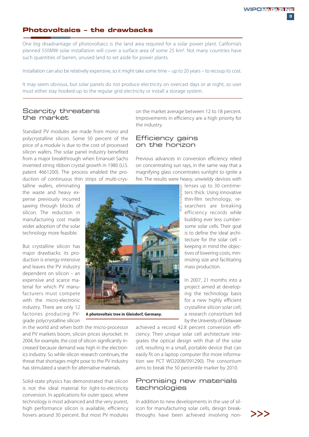### **Photovoltaics – the drawbacks**

One big disadvantage of photovoltaics is the land area required for a solar power plant. California's planned 550MW solar installation will cover a surface area of some 25 km<sup>2</sup>. Not many countries have such quantities of barren, unused land to set aside for power plants.

Installation can also be relatively expensive, so it might take some time – up to 20 years – to recoup its cost.

It may seem obvious, but solar panels do not produce electricity on overcast days or at night, so user must either stay hooked-up to the regular grid electricity or install a storage system.

#### Scarcity threatens the market

Standard PV modules are made from mono and polycrystalline silicon. Some 50 percent of the price of a module is due to the cost of processed silicon wafers. The solar panel industry benefited from a major breakthrough when Emanuel Sachs invented string ribbon crystal growth in 1980 (U.S. patent 4661200). The process enabled the production of continuous thin strips of multi-crys-

talline wafers, eliminating the waste and heavy expense previously incurred sawing through blocks of silicon. The reduction in manufacturing cost made wider adoption of the solar technology more feasible.

But crystalline silicon has major drawbacks: its production is energy-intensive and leaves the PV industry dependent on silicon – an expensive and scarce material for which PV manufacturers must compete with the micro-electronic industry. There are only 12 factories producing PVgrade polycrystalline silicon Improvements in efficiency are a high priority for the industry.

on the market average between 12 to 18 percent.

### Efficiency gains on the horizon

Previous advances in conversion efficiency relied on concentrating sun rays, in the same way that a magnifying glass concentrates sunlight to ignite a fire. The results were heavy, unwieldy devices with



**A photovoltaic tree in Gleisdorf, Germany.**

in the world and when both the micro-processor and PV markets boom, silicon prices skyrocket. In 2004, for example, the cost of silicon significantly increased because demand was high in the electronics industry. So while silicon research continues, the threat that shortages might pose to the PV industry has stimulated a search for alternative materials.

Solid-state physics has demonstrated that silicon is not the ideal material for light-to-electricity conversion. In applications for outer space, where technology is most advanced and the very purest, high performance silicon is available, efficiency hovers around 30 percent. But most PV modules lenses up to 30 centimeters thick. Using innovative thin-film technology, researchers are breaking efficiency records while building ever less cumbersome solar cells. Their goal is to define the ideal architecture for the solar cell – keeping in mind the objectives of lowering costs, minimizing size and facilitating mass production.

In 2007, 21 months into a project aimed at developing the technology basis for a new highly efficient crystalline silicon solar cell, a research consortium led by the University of Delaware

achieved a record 42.8 percent conversion efficiency. Their unique solar cell architecture integrates the optical design with that of the solar cell, resulting in a small, portable device that can easily fit on a laptop computer (for more information see PCT WO2008/091290). The consortium aims to break the 50 percentile marker by 2010.

#### Promising new materials technologies

In addition to new developments in the use of silicon for manufacturing solar cells, design breakthroughs have been achieved involving non- $\sum$ 

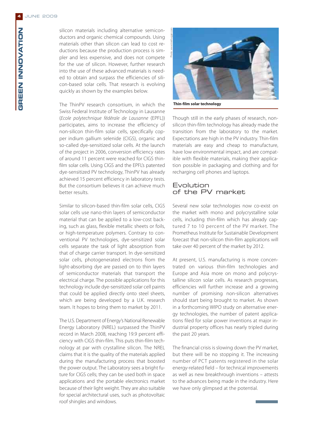**GREEN INNOVATION**

GREEN INNOVATION

silicon materials including alternative semiconductors and organic chemical compounds. Using materials other than silicon can lead to cost reductions because the production process is simpler and less expensive, and does not compete for the use of silicon. However, further research into the use of these advanced materials is needed to obtain and surpass the efficiencies of silicon-based solar cells. That research is evolving quickly as shown by the examples below.

The ThinPV research consortium, in which the Swiss Federal Institute of Technology in Lausanne (Ecole polytechnique fédérale de Lausanne (EPFL)) participates, aims to increase the efficiency of non-silicon thin-film solar cells, specifically copper indium gallium selenide (CIGS), organic and so-called dye-sensitized solar cells. At the launch of the project in 2006, conversion efficiency rates of around 11 percent were reached for CIGS thinfilm solar cells. Using CIGS and the EPFL's patented dye-sensitized PV technology, ThinPV has already achieved 15 percent efficiency in laboratory tests. But the consortium believes it can achieve much better results.

Similar to silicon-based thin-film solar cells, CIGS solar cells use nano-thin layers of semiconductor material that can be applied to a low-cost backing, such as glass, flexible metallic sheets or foils, or high-temperature polymers. Contrary to conventional PV technologies, dye-sensitized solar cells separate the task of light absorption from that of charge carrier transport. In dye-sensitized solar cells, photogenerated electrons from the light-absorbing dye are passed on to thin layers of semiconductor materials that transport the electrical charge. The possible applications for this technology include dye-sensitized solar cell paints that could be applied directly onto steel sheets, which are being developed by a U.K. research team. It hopes to bring them to market by 2011.

The U.S. Department of Energy's National Renewable Energy Laboratory (NREL) surpassed the ThinPV record in March 2008, reaching 19.9 percent efficiency with CIGS thin-film. This puts thin-film technology at par with crystalline silicon. The NREL claims that it is the quality of the materials applied during the manufacturing process that boosted the power output. The Laboratory sees a bright future for CIGS cells; they can be used both in space applications and the portable electronics market because of their light weight. They are also suitable for special architectural uses, such as photovoltaic roof shingles and windows.



**Thin-film solar technology**

Though still in the early phases of research, nonsilicon thin-film technology has already made the transition from the laboratory to the market. Expectations are high in the PV industry. Thin-film materials are easy and cheap to manufacture, have low environmental impact, and are compatible with flexible materials, making their application possible in packaging and clothing and for recharging cell phones and laptops.

#### Evolution of the PV market

Several new solar technologies now co-exist on the market with mono and polycrystalline solar cells, including thin-film which has already captured 7 to 10 percent of the PV market. The Prometheus Institute for Sustainable Development forecast that non-silicon thin-film applications will take over 40 percent of the market by 2012.

At present, U.S. manufacturing is more concentrated on various thin-film technologies and Europe and Asia more on mono and polycrystalline silicon solar cells. As research progresses, efficiencies will further increase and a growing number of promising non-silicon alternatives should start being brought to market. As shown in a forthcoming WIPO study on alternative energy technologies, the number of patent applications filed for solar power inventions at major industrial property offices has nearly tripled during the past 20 years.

The financial crisis is slowing down the PV market, but there will be no stopping it. The increasing number of PCT patents registered in the solar energy-related field – for technical improvements as well as new breakthrough inventions – attests to the advances being made in the industry. Here we have only glimpsed at the potential.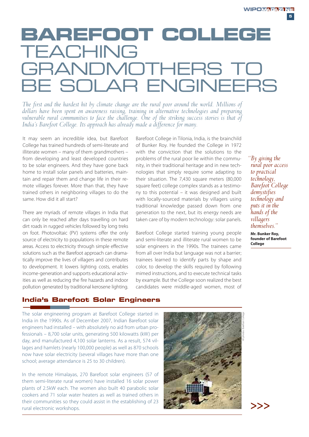## **BAREFOOT COLLEGE** TEACHING **GRANDMOTHERS TO** BE SOLAR ENGINEERS

*The first and the hardest hit by climate change are the rural poor around the world. Millions of dollars have been spent on awareness raising, training in alternative technologies and preparing vulnerable rural communities to face the challenge. One of the striking success stories is that of India's Barefoot College. Its approach has already made a difference for many.*

It may seem an incredible idea, but Barefoot College has trained hundreds of semi-literate and illiterate women – many of them grandmothers – from developing and least developed countries to be solar engineers. And they have gone back home to install solar panels and batteries, maintain and repair them and change life in their remote villages forever. More than that, they have trained others in neighboring villages to do the same. How did it all start?

There are myriads of remote villages in India that can only be reached after days travelling on hard dirt roads in rugged vehicles followed by long treks on foot. Photovoltaic (PV) systems offer the only source of electricity to populations in these remote areas. Access to electricity through simple effective solutions such as the Barefoot approach can dramatically improve the lives of villagers and contributes to development. It lowers lighting costs, enables income-generation and supports educational activities as well as reducing the fire hazards and indoor pollution generated by traditional kerosene lighting.

Barefoot College in Tilonia, India, is the brainchild of Bunker Roy. He founded the College in 1972 with the conviction that the solutions to the problems of the rural poor lie within the community, in their traditional heritage and in new technologies that simply require some adapting to their situation. The 7,430 square meters (80,000 square feet) college complex stands as a testimony to this potential – it was designed and built with locally-sourced materials by villagers using traditional knowledge passed down from one generation to the next, but its energy needs are taken care of by modern technology: solar panels.

Barefoot College started training young people and semi-literate and illiterate rural women to be solar engineers in the 1990s. The trainees came from all over India but language was not a barrier; trainees learned to identify parts by shape and color, to develop the skills required by following mimed instructions, and to execute technical tasks by example. But the College soon realized the best candidates were middle-aged women, most of *"By giving the rural poor access to practical technology, Barefoot College demystifies technology and puts it in the hands of the villagers themselves."*

**Mr. Bunker Roy, founder of Barefoot College**

## **India's Barefoot Solar Engineers**

The solar engineering program at Barefoot College started in India in the 1990s. As of December 2007, Indian Barefoot solar engineers had installed – with absolutely no aid from urban professionals – 8,700 solar units, generating 500 kilowatts (kW) per day, and manufactured 4,100 solar lanterns. As a result, 574 villages and hamlets (nearly 100,000 people) as well as 870 schools now have solar electricity (several villages have more than one school; average attendance is 25 to 30 children).

In the remote Himalayas, 270 Barefoot solar engineers (57 of them semi-literate rural women) have installed 16 solar power plants of 2.5kW each. The women also built 40 parabolic solar cookers and 71 solar water heaters as well as trained others in their communities so they could assist in the establishing of 23 rural electronic workshops.



>>>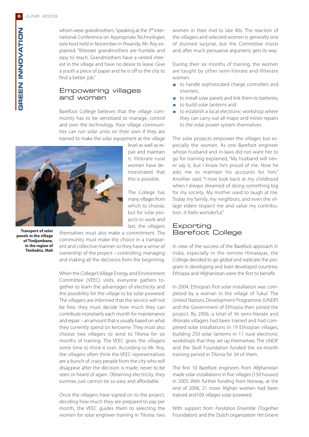whom were grandmothers. Speaking at the 3<sup>rd</sup> International Conference on Appropriate Technologies (see box) held in November in Rwanda, Mr. Roy explained, "Illiterate grandmothers are humble and easy to teach. Grandmothers have a vested interest in the village and have no desire to leave. Give a youth a piece of paper and he is off to the city to find a better job."

#### Empowering villages and women

Barefoot College believes that the village community has to be sensitized to manage, control and own the technology. Poor village communities can run solar units on their own if they are trained to make the solar equipment at the village

> level as well as repair and maintain it. Illiterate rural women have demonstrated that this is possible.

The College has many villages from which to choose, but for solar projects to work and last, the villagers



**Transport of solar panels in the village of Tindjambane, in the region of Timbuktu, Mali**

themselves must also make a commitment. The community must make the choice in a transparent and collective manner so they have a sense of ownership of the project – controlling, managing and making all the decisions from the beginning.

When the College's Village Energy and Environment Committee (VEEC) visits, everyone gathers together to learn the advantages of electricity and the possibility for the village to be solar powered. The villagers are informed that the service will not be free: they must decide how much they can contribute monetarily each month for maintenance and repair – an amount that is usually based on what they currently spend on kerosene. They must also choose two villagers to send to Tilonia for six months of training. The VEEC gives the villagers some time to think it over. According to Mr. Roy, the villagers often think the VEEC representatives are a bunch of crazy people from the city who will disappear after the decision is made, never to be seen or heard of again. Obtaining electricity, they surmise, just cannot be so easy and affordable.

Once the villagers have signed on to the project, deciding how much they are prepared to pay per month, the VEEC guides them to selecting the women for solar engineer training in Tilonia: two

women in their mid to late 40s. The reaction of the villagers and selected women is generally one of stunned surprise, but the Committee insists and, after much persuasive argument, gets its way.

During their six months of training, the women are taught by other semi-literate and illiterate women:

- to handle sophisticated charge controllers and inverters,
- $\Box$  to install solar panels and link them to batteries,
- to build solar lanterns and
- to establish a local electronic workshop where  $\overline{\phantom{a}}$ they can carry out all major and minor repairs to the solar power system themselves.

The solar projects empower the villages but especially the women. As one Barefoot engineer whose husband and in-laws did not want her to go for training explained, "My husband will never say it, but I know he's proud of me. Now he asks me to maintain his accounts for him." Another said, "I now look back at my childhood when I always dreamed of doing something big for my society. My mother used to laugh at me. Today my family, my neighbors, and even the village elders respect me and value my contribution. It feels wonderful."

#### Exporting Barefoot College

In view of the success of the Barefoot approach in India, especially in the remote Himalayas, the College decided to go global and replicate the program in developing and least developed countries. Ethiopia and Afghanistan were the first to benefit.

In 2004, Ethiopia's first solar installation was completed by a woman in the village of Tukul. The United Nations Development Programme (UNDP) and the Government of Ethiopia then joined the project. By 2006, a total of 36 semi-literate and illiterate villagers had been trained and had completed solar installations in 19 Ethiopian villages, building 250 solar lanterns in 11 rural electronic workshops that they set up themselves. The UNDP and the Skoll Foundation funded the six-month training period in Tilonia for 34 of them.

The first 10 Barefoot engineers from Afghanistan made solar installations in five villages (150 houses) in 2005. With further funding from Norway, at the end of 2008, 21 more Afghan women had been trained and100 villages solar powered.

With support from Fondation Ensemble (Together Foundation) and the Dutch organization Het Groene

**GREEN INNOVATION**

**BREEN INNOVATION**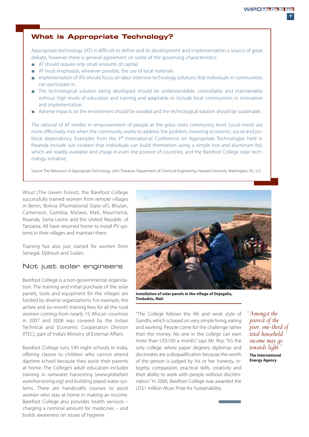## **What is Appropriate Technology?**

Appropriate technology (AT) is difficult to define and its development and implementation a source of great debate, however there is general agreement on some of the governing characteristics:

- AT should require only small amounts of capital.
- AT must emphasize, wherever possible, the use of local materials.
- **Implementation of ATs should focus on labor intensive technology solutions that individuals in communities** can participate in.
- The technological solution being developed should be understandable, controllable and maintainable without high levels of education and training and adaptable to include local communities in innovation and implementation.
- Adverse impacts on the environment should be avoided and the technological solution should be sustainable.

The rational of AT resides in empowerment of people at the grass roots community level. Local needs are more effectively met when the community works to address the problem, lowering economic, social and political dependency. Examples from the  $3<sup>rd</sup>$  International Conference on Appropriate Technologies held in Rwanda include sun cookers that individuals can build themselves using a simple box and aluminum foil, which are readily available and cheap in even the poorest of countries, and the Barefoot College solar technology initiative.

Source: The Relevance of Appropriate Technology, John Tharakan, Department of Chemical Engineering, Howard University, Washington, DC, U.S.

Woud (The Green Forest), the Barefoot College successfully trained women from remote villages in Benin, Bolivia (Plurinational State of ), Bhutan, Cameroon, Gambia, Malawi, Mali, Mauritania, Rwanda, Sierra Leone and the United Republic of Tanzania. All have returned home to install PV systems in their villages and maintain them.

Training has also just started for women from Senegal, Djibouti and Sudan.

### Not just solar engineers

Barefoot College is a non-governmental organization. The training and initial purchase of the solar panels, tools and equipment for the villages are funded by diverse organizations. For example, the airfare and six-month training fees for all the rural women coming from nearly 15 African countries in 2007 and 2008 was covered by the Indian Technical and Economic Cooperation Division (ITEC), part of India's Ministry of External Affairs.

Barefoot College runs 549 night schools in India, offering classes to children who cannot attend daytime school because they assist their parents at home. The College's adult education includes training in rainwater harvesting (www.globalrain waterharvesting.org) and building piped water systems. There are handicrafts courses to assist women who stay at home in making an income. Barefoot College also provides health services – charging a nominal amount for medicines – and builds awareness on issues of hygiene.



**Installation of solar panels in the village of Dejegalia, Timbuktu, Mali**

"The College follows the life and work style of Gandhi, which is based on very simple living, eating and working. People come for the challenge rather than the money. No one in the college can earn more than US\$100 a month," says Mr. Roy. "It's the only college where paper degrees, diplomas and doctorates are a disqualification because the worth of the person is judged by his or her honesty, integrity, compassion, practical skills, creativity and their ability to work with people without discrimination." In 2006, Barefoot College was awarded the US\$1 million Alcan Prize for Sustainability.

*"Amongst the poorest of the poor, one-third of total household income may go towards light.* **The International**

**Energy Agency**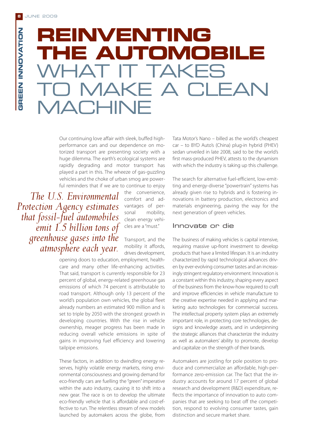**GREEN INNOVATION**

**BREEN INNOVATION** 

# **REINVENTING THE AUTOMOBILE** WHAT IT TAKES MAKE A CI FAN **MACHINE**

Our continuing love affair with sleek, buffed highperformance cars and our dependence on motorized transport are presenting society with a huge dilemma. The earth's ecological systems are rapidly degrading and motor transport has played a part in this. The wheeze of gas-guzzling vehicles and the choke of urban smog are powerful reminders that if we are to continue to enjoy

*The U.S. Environmental Protection Agency estimates that fossil-fuel automobiles emit 1.5 billion tons of greenhouse gases into the atmosphere each year.*

the convenience, comfort and advantages of personal mobility, clean energy vehicles are a "must."

Transport, and the mobility it affords, drives development,

opening doors to education, employment, healthcare and many other life-enhancing activities. That said, transport is currently responsible for 23 percent of global, energy-related greenhouse gas emissions of which 74 percent is attributable to road transport. Although only 13 percent of the world's population own vehicles, the global fleet already numbers an estimated 900 million and is set to triple by 2050 with the strongest growth in developing countries. With the rise in vehicle ownership, meager progress has been made in reducing overall vehicle emissions in spite of gains in improving fuel efficiency and lowering tailpipe emissions.

These factors, in addition to dwindling energy reserves, highly volatile energy markets, rising environmental consciousness and growing demand for eco-friendly cars are fuelling the "green" imperative within the auto industry, causing it to shift into a new gear. The race is on to develop the ultimate eco-friendly vehicle that is affordable and cost-effective to run. The relentless stream of new models launched by automakers across the globe, from

Tata Motor's Nano – billed as the world's cheapest car – to BYD Auto's (China) plug-in hybrid (PHEV) sedan unveiled in late 2008, said to be the world's first mass-produced PHEV, attests to the dynamism with which the industry is taking up this challenge.

The search for alternative fuel-efficient, low-emitting and energy-diverse "powertrain" systems has already given rise to hybrids and is fostering innovations in battery production, electronics and materials engineering, paving the way for the next generation of green vehicles.

#### Innovate or die

The business of making vehicles is capital intensive, requiring massive up-front investment to develop products that have a limited lifespan. It is an industry characterized by rapid technological advances driven by ever-evolving consumer tastes and an increasingly stringent regulatory environment. Innovation is a constant within this industry, shaping every aspect of the business from the know-how required to craft and improve efficiencies in vehicle manufacture to the creative expertise needed in applying and marketing auto technologies for commercial success. The intellectual property system plays an extremely important role, in protecting core technologies, designs and knowledge assets, and in underpinning the strategic alliances that characterize the industry as well as automakers' ability to promote, develop and capitalize on the strength of their brands.

Automakers are jostling for pole position to produce and commercialize an affordable, high-performance zero-emission car. The fact that the industry accounts for around 17 percent of global research and development (R&D) expenditure, reflects the importance of innovation to auto companies that are seeking to beat off the competition, respond to evolving consumer tastes, gain distinction and secure market share.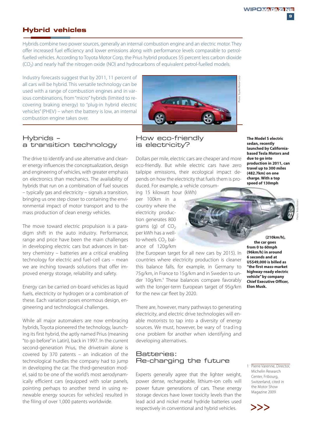## **Hybrid vehicles**

Hybrids combine two power sources, generally an internal combustion engine and an electric motor. They offer increased fuel efficiency and lower emissions along with performance levels comparable to petrolfuelled vehicles. According to Toyota Motor Corp, the Prius hybrid produces 55 percent less carbon dioxide (CO2) and nearly half the nitrogen oxide (NO) and hydrocarbons of equivalent petrol-fuelled models.

Industry forecasts suggest that by 2011, 11 percent of all cars will be hybrid. This versatile technology can be used with a range of combustion engines and in various combinations, from "micro" hybrids (limited to recovering braking energy) to "plug-in hybrid electric vehicles" (PHEV) – when the battery is low, an internal combustion engine takes over.

#### Hybrids – a transition technology

The drive to identify and use alternative and cleaner energy influences the conceptualization, design and engineering of vehicles, with greater emphasis on electronics than mechanics. The availability of hybrids that run on a combination of fuel sources – typically gas and electricity – signals a transition, bringing us one step closer to containing the environmental impact of motor transport and to the mass production of clean energy vehicles.

The move toward electric propulsion is a paradigm shift in the auto industry. Performance, range and price have been the main challenges in developing electric cars but advances in battery chemistry – batteries are a critical enabling technology for electric and fuel-cell cars – mean we are inching towards solutions that offer improved energy storage, reliability and safety.

Energy can be carried on-board vehicles as liquid fuels, electricity or hydrogen or a combination of these. Each variation poses enormous design, engineering and technological challenges.

While all major automakers are now embracing hybrids, Toyota pioneered the technology, launching its first hybrid, the aptly named Prius (meaning "to go before" in Latin), back in 1997. In the current second-generation Prius, the drivetrain alone is covered by 370 patents – an indication of the technological hurdles the company had to jump in developing the car. The third-generation model, said to be one of the world's most aerodynamically efficient cars (equipped with solar panels, pointing perhaps to another trend in using renewable energy sources for vehicles) resulted in the filing of over 1,000 patents worldwide.



### How eco-friendly is electricity?

Dollars per mile, electric cars are cheaper and more eco-friendly. But while electric cars have zero tailpipe emissions, their ecological impact depends on how the electricity that fuels them is produced. For example, a vehicle consum-

ing 15 kilowatt hour (kWh)

per 100km in a country where the electricity production generates 800 grams (g) of  $CO<sub>2</sub>$ per kWh has a wellto-wheels  $CO<sub>2</sub>$  balance of 120g/km

(the European target for all new cars by 2015). In countries where electricity production is cleaner this balance falls, for example, in Germany to 75g/km, in France to 15g/km and in Sweden to under 10g/km.<sup>1</sup> These balances compare favorably with the longer-term European target of 95g/km for the new car fleet by 2020.

There are, however, many pathways to generating electricity, and electric drive technologies will enable motorists to tap into a diversity of energy sources. We must, however, be wary of trading one problem for another when identifying and developing alternatives.

#### Batteries: Re-charging the future

Experts generally agree that the lighter weight, power dense, rechargeable, lithium-ion cells will power future generations of cars. These energy storage devices have lower toxicity levels than the lead acid and nickel metal hydride batteries used respectively in conventional and hybrid vehicles.  $\sum$ 

**The Model S electric sedan, recently launched by Californiabased Tesla Motors and due to go into production in 2011, can travel up to 300 miles (482.7km) on one charge. With a top speed of 130mph**

**(210km/h), the car goes from 0 to 60mph (96km/h) in around 6 seconds and at US\$49,000 is billed as "the first mass-market highway-ready electric vehicle" by company Chief Executive Officer, Elon Musk.**

1 Pierre Varenne, Director, Michelin Research Center, Fribourg Switzerland, cited in the Motor Show Magazine 2009

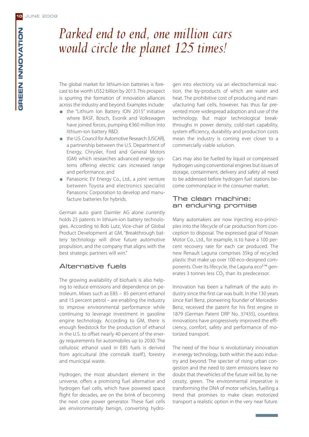## *Parked end to end, one million cars would circle the planet 125 times!*

The global market for lithium-ion batteries is forecast to be worth US\$2 billion by 2013. This prospect is spurring the formation of innovation alliances across the industry and beyond. Examples include:

- the "Lithium Ion Battery ION 2015" initiative where BASF, Bosch, Evonik and Volkswagen have joined forces, pumping €360 million into lithium-ion battery R&D;
- the U.S. Council for Automotive Research (USCAR), a partnership between the U.S. Department of Energy, Chrysler, Ford and General Motors (GM) which researches advanced energy systems offering electric cars increased range and performance; and
- Panasonic EV Energy Co., Ltd., a joint venture between Toyota and electronics specialist Panasonic Corporation to develop and manufacture batteries for hybrids.

German auto giant Daimler AG alone currently holds 25 patents in lithium-ion battery technologies. According to Bob Lutz, Vice-chair of Global Product Development at GM, "Breakthrough battery technology will drive future automotive propulsion, and the company that aligns with the best strategic partners will win."

#### Alternative fuels

The growing availability of biofuels is also helping to reduce emissions and dependence on petroleum. Mixes such as E85 – 85 percent ethanol and 15 percent petrol – are enabling the industry to improve environmental performance while continuing to leverage investment in gasoline engine technology. According to GM, there is enough feedstock for the production of ethanol in the U.S. to offset nearly 40 percent of the energy requirements for automobiles up to 2030. The cellulosic ethanol used in E85 fuels is derived from agricultural (the cornstalk itself), forestry and municipal waste.

Hydrogen, the most abundant element in the universe, offers a promising fuel alternative and hydrogen fuel cells, which have powered space flight for decades, are on the brink of becoming the next core power generator. These fuel cells are environmentally benign, converting hydro-

gen into electricity via an electrochemical reaction, the by-products of which are water and heat. The prohibitive cost of producing and manufacturing fuel cells, however, has thus far prevented more widespread adoption and use of the technology. But major technological breakthroughs in power density, cold-start capability, system efficiency, durability and production costs mean the industry is coming ever closer to a commercially viable solution.

Cars may also be fuelled by liquid or compressed hydrogen using conventional engines but issues of storage, containment, delivery and safety all need to be addressed before hydrogen fuel stations become commonplace in the consumer market.

#### The clean machine: an enduring promise

Many automakers are now injecting eco-principles into the lifecycle of car production from conception to disposal. The expressed goal of Nissan Motor Co., Ltd., for example, is to have a 100 percent recovery rate for each car produced. The new Renault Laguna comprises 35kg of recycled plastic that make up over 100 eco-designed components. Over its lifecycle, the Laguna eco<sup>2™</sup> generates 3 tonnes less  $CO<sub>2</sub>$  than its predecessor.

Innovation has been a hallmark of the auto industry since the first car was built. In the 130 years since Karl Benz, pioneering founder of Mercedes-Benz, received the patent for his first engine in 1879 (German Patent DRP No. 37435), countless innovations have progressively improved the efficiency, comfort, safety and performance of motorized transport.

The need of the hour is revolutionary innovation in energy technology, both within the auto industry and beyond. The specter of rising urban congestion and the need to stem emissions leave no doubt that thevehicles of the future will be, by necessity, green. The environmental imperative is transforming the DNA of motor vehicles, fuelling a trend that promises to make clean motorized transport a realistic option in the very near future.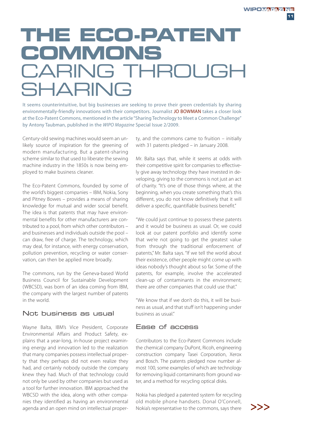# **THE ECO-PATENT COMMONS** CARING THROUGH SHARING

It seems counterintuitive, but big businesses are seeking to prove their green credentials by sharing environmentally-friendly innovations with their competitors. Journalist JO BOWMAN takes a closer look at the Eco-Patent Commons, mentioned in the article "Sharing Technology to Meet a Common Challenge" by Antony Taubman, published in the WIPO Magazine Special Issue 2/2009.

Century-old sewing machines would seem an unlikely source of inspiration for the greening of modern manufacturing. But a patent-sharing scheme similar to that used to liberate the sewing machine industry in the 1850s is now being employed to make business cleaner.

The Eco-Patent Commons, founded by some of the world's biggest companies – IBM, Nokia, Sony and Pitney Bowes – provides a means of sharing knowledge for mutual and wider social benefit. The idea is that patents that may have environmental benefits for other manufacturers are contributed to a pool, from which other contributors – and businesses and individuals outside the pool – can draw, free of charge. The technology, which may deal, for instance, with energy conservation, pollution prevention, recycling or water conservation, can then be applied more broadly.

The commons, run by the Geneva-based World Business Council for Sustainable Development (WBCSD), was born of an idea coming from IBM, the company with the largest number of patents in the world.

#### Not business as usual

Wayne Balta, IBM's Vice President, Corporate Environmental Affairs and Product Safety, explains that a year-long, in-house project examining energy and innovation led to the realization that many companies possess intellectual property that they perhaps did not even realize they had, and certainly nobody outside the company knew they had. Much of that technology could not only be used by other companies but used as a tool for further innovation. IBM approached the WBCSD with the idea, along with other companies they identified as having an environmental agenda and an open mind on intellectual property, and the commons came to fruition – initially with 31 patents pledged – in January 2008.

Mr. Balta says that, while it seems at odds with their competitive spirit for companies to effectively give away technology they have invested in developing, giving to the commons is not just an act of charity. "It's one of those things where, at the beginning, when you create something that's this different, you do not know definitively that it will deliver a specific, quantifiable business benefit."

"We could just continue to possess these patents and it would be business as usual. Or, we could look at our patent portfolio and identify some that we're not going to get the greatest value from through the traditional enforcement of patents," Mr. Balta says. "If we tell the world about their existence, other people might come up with ideas nobody's thought about so far. Some of the patents, for example, involve the accelerated clean-up of contaminants in the environment; there are other companies that could use that."

"We know that if we don't do this, it will be business as usual, and that stuff isn't happening under business as usual."

## Ease of access

Contributors to the Eco-Patent Commons include the chemical company DuPont, Ricoh, engineering construction company Tasei Corporation, Xerox and Bosch. The patents pledged now number almost 100, some examples of which are technology for removing liquid contaminants from ground water, and a method for recycling optical disks.

Nokia has pledged a patented system for recycling old mobile phone handsets. Donal O'Connell, Nokia's representative to the commons, says there  $\sum$ 

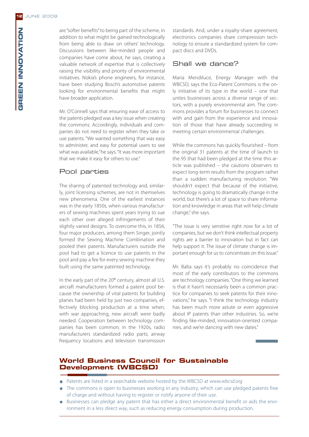are "softer benefits" to being part of the scheme, in addition to what might be gained technologically from being able to draw on others' technology. Discussions between like-minded people and companies have come about, he says, creating a valuable network of expertise that is collectively raising the visibility and priority of environmental initiatives. Nokia's phone engineers, for instance, have been studying Bosch's automotive patents looking for environmental benefits that might have broader application.

Mr. O'Connell says that ensuring ease of access to the patents pledged was a key issue when creating the commons. Accordingly, individuals and companies do not need to register when they take or use patents. "We wanted something that was easy to administer, and easy for potential users to see what was available," he says. "It was more important that we make it easy for others to use."

## Pool parties

The sharing of patented technology and, similarly, joint licensing schemes, are not in themselves new phenomena. One of the earliest instances was in the early 1850s, when various manufacturers of sewing machines spent years trying to sue each other over alleged infringements of their slightly varied designs. To overcome this, in 1856, four major producers, among them Singer, jointly formed the Sewing Machine Combination and pooled their patents. Manufacturers outside the pool had to get a licence to use patents in the pool and pay a fee for every sewing machine they built using the same patented technology.

In the early part of the 20<sup>th</sup> century, almost all U.S. aircraft manufacturers formed a patent pool because the ownership of vital patents for building planes had been held by just two companies, effectively blocking production at a time when, with war approaching, new aircraft were badly needed. Cooperation between technology companies has been common; in the 1920s, radio manufacturers standardized radio parts, airway frequency locations and television transmission

standards. And, under a royalty-share agreement, electronics companies share compression technology to ensure a standardized system for compact discs and DVDs.

## Shall we dance?

Maria Mendiluce, Energy Manager with the WBCSD, says the Eco-Patent Commons is the only initiative of its type in the world – one that unites businesses across a diverse range of sectors, with a purely environmental aim. The commons provides a forum for businesses to connect with and gain from the experience and innovation of those that have already succeeding in meeting certain environmental challenges.

While the commons has quickly flourished – from the original 31 patents at the time of launch to the 95 that had been pledged at the time this article was published – she cautions observers to expect long-term results from the program rather than a sudden manufacturing revolution. "We shouldn't expect that because of the initiative, technology is going to dramatically change in the world, but there's a lot of space to share information and knowledge in areas that will help climate change," she says.

"The issue is very sensitive right now for a lot of companies, but we don't think intellectual property rights are a barrier to innovation but in fact can help support it. The issue of climate change is important enough for us to concentrate on this issue."

Mr. Balta says it's probably no coincidence that most of the early contributors to the commons are technology companies. "One thing we learned is that it hasn't necessarily been a common practice for companies to seek patents for their innovations," he says. "I think the technology industry has been much more astute or even aggressive about IP patents than other industries. So, we're finding like-minded, innovation-oriented companies, and we're dancing with new dates."

## **World Business Council for Sustainable Development (WBCSD)**

- Patents are listed in a searchable website hosted by the WBCSD at www.wbcsd.org
- The commons is open to businesses working in any industry, which can use pledged patents free of charge and without having to register or notify anyone of their use.
- Businesses can pledge any patent that has either a direct environmental benefit or aids the environment in a less direct way, such as reducing energy consumption during production.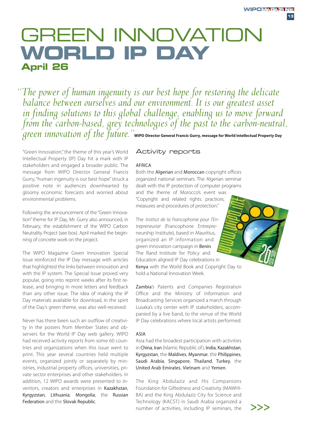## GREEN INNOVATION **WORLD IP DAY April 26**

*"The power of human ingenuity is our best hope for restoring the delicate*  balance between ourselves and our environment. It is our greatest asset *in finding solutions to this global challenge, enabling us to move forward from the carbon-based, grey technologies of the past to the carbon-neutral, green innovation of the future."***WIPO Director General Francis Gurry, message for World Intellectual Property Day**

"Green Innovation," the theme of this year's World Intellectual Property (IP) Day hit a mark with IP stakeholders and engaged a broader public. The message from WIPO Director General Francis Gurry, "human ingenuity is our best hope" struck a positive note in audiences downhearted by gloomy economic forecasts and worried about environmental problems.

Following the announcement of the "Green Innovation" theme for IP Day, Mr. Gurry also announced, in February, the establishment of the WIPO Carbon Neutrality Project (see box). April marked the beginning of concrete work on the project.

The WIPO Magazine Green Innovation Special Issue reinforced the IP Day message with articles that highlighted the links between innovation and with the IP system. The Special Issue proved very popular, going into reprint weeks after its first release, and bringing in more letters and feedback than any other issue. The idea of making the IP Day materials available for download, in the spirit of the Day's green theme, was also well-received.

Never has there been such an outflow of creativity in the posters from Member States and observers for the World IP Day web gallery. WIPO had received activity reports from some 60 countries and organizations when this issue went to print. This year several countries held multiple events, organized jointly or separately by ministries, industrial property offices, universities, private sector enterprises and other stakeholders. In addition, 12 WIPO awards were presented to inventors, creators and enterprises in Kazakhstan, Kyrgyzstan, Lithuania, Mongolia, the Russian Federation and the Slovak Republic.

#### Activity reports

#### **AFRICA**

Both the Algerian and Moroccan copyright offices organized national seminars. The Algerian seminar dealt with the IP protection of computer programs and the theme of Morocco's event was "Copyright and related rights: practices, measures and procedures of protection."

The Institut de la Francophonie pour l'Entrepreneuriat (Francophone Entrepreneurship Institute), based in Mauritius, organized an IP information and green innovation campaign in Benin. The Rand Institute for Policy and Education aligned IP Day celebrations in Kenya with the World Book and Copyright Day to hold a National Innovation Week.

Zambia's Patents and Companies Registration Office and the Ministry of Information and Broadcasting Services organized a march through Lusaka's city center with IP stakeholders, accompanied by a live band, to the venue of the World IP Day celebrations where local artists performed.

#### ASIA

Asia had the broadest participation with activities in China, Iran (Islamic Republic of), India, Kazakhstan, Kyrgyzstan, the Maldives, Myanmar, the Philippines, Saudi Arabia, Singapore, Thailand, Turkey, the United Arab Emirates, Vietnam and Yemen.

The King Abdulaziz and His Companions Foundation for Giftedness and Creativity (MAWHI-BA) and the King Abdulaziz City for Science and Technology (KACST) in Saudi Arabia organized a number of activities, including IP seminars, the

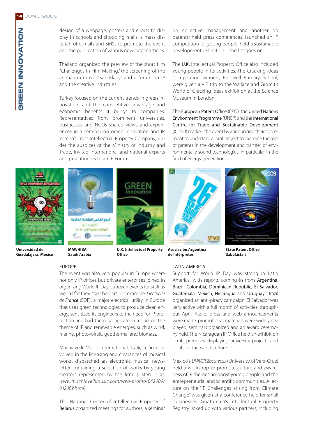design of a webpage, posters and charts to display in schools and shopping malls, a mass dispatch of e-mails and SMSs to promote the event and the publication of various newspaper articles.

Thailand organized the preview of the short film "Challenges in Film Making," the screening of the animation movie "Kan-Klauy" and a forum on IP and the creative industries.

Turkey focused on the current trends in green innovation, and the competitive advantage and economic benefits it brings to companies. Representatives from prominent universities, businesses and NGOs shared views and experiences in a seminar on green innovation and IP. Yemen's Trust Intellectual Property Company, under the auspices of the Ministry of Industry and Trade, invited international and national experts and practitioners to an IP Forum.

on collective management and another on patents; held press conferences; launched an IP competition for young people; held a sustainable development exhibition – the list goes on.

The U.K. Intellectual Property Office also included young people in its activities. The Cracking Ideas Competition winners, Eveswell Primary School, were given a VIP trip to the Wallace and Gromit's World of Cracking Ideas exhibition at the Science Museum in London.

The European Patent Office (EPO), the United Nations Environment Programme (UNEP) and the International Centre for Trade and Sustainable Development (ICTSD) marked the event by announcing their agreement to undertake a joint project to examine the role of patents in the development and transfer of environmentally sound technologies, in particular in the field of energy generation.



**Saudi Arabia**

**Office**



Support for World IP Day was strong in Latin America, with reports coming in from Argentina, Brazil, Colombia, Dominican Republic, El Salvador, Guatemala, Mexico, Nicaragua and Uruguay. Brazil organized an anti-piracy campaign. El Salvador was very active with a full month of activities, throughout April. Radio, press and web announcements were made, promotional materials were widely displayed, seminars organized and an award ceremony held. The Nicaraguan IP Office held an exhibition on its premises, displaying university projects and local products and culture.

Mexico's UNIVER Zacatecas (University of Vera-Cruz) held a workshop to promote culture and awareness of IP themes amongst young people and the entrepreneurial and scientific communities. A lecture on the "IP Challenges arising from Climate Change" was given at a conference held for small businesses. Guatamala's Intellectual Property Registry linked up with various partners, including

#### EUROPE

The event was also very popular in Europe where not only IP offices but private enterprises joined in organizing World IP Day outreach events for staff as well as for their stakeholders. For example, Electricité de France (EDF), a major electrical utility in Europe that uses green technologies to produce clean energy, sensitized its engineers to the need for IP protection and had them participate in a quiz on the theme of IP and renewable energies, such as wind, marine, photovoltaic, geothermal and biomass.

Machiavelli Music International, Italy, a firm involved in the licensing and clearances of musical works, dispatched an electronic musical newsletter containing a selection of works by young creators represented by the firm. (Listen in at: www.machiavellimusic.com/web/promo/042009/ 042009.html)

The National Center of Intellectual Property of Belarus organized meetings for authors, a seminar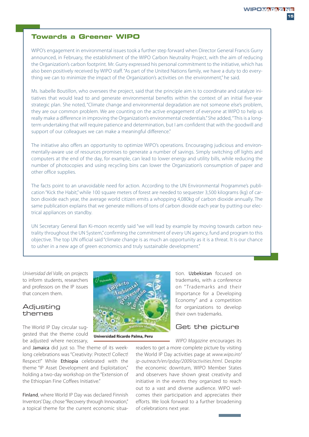## **Towards a Greener WIPO**

WIPO's engagement in environmental issues took a further step forward when Director General Francis Gurry announced, in February, the establishment of the WIPO Carbon Neutrality Project, with the aim of reducing the Organization's carbon footprint. Mr. Gurry expressed his personal commitment to the initiative, which has also been positively received by WIPO staff. "As part of the United Nations family, we have a duty to do everything we can to minimize the impact of the Organization's activities on the environment," he said.

Ms. Isabelle Boutillon, who oversees the project, said that the principle aim is to coordinate and catalyze initiatives that would lead to and generate environmental benefits within the context of an initial five-year strategic plan. She noted, "Climate change and environmental degradation are not someone else's problem, they are our common problem. We are counting on the active engagement of everyone at WIPO to help us really make a difference in improving the Organization's environmental credentials." She added, "This is a longterm undertaking that will require patience and determination, but I am confident that with the goodwill and support of our colleagues we can make a meaningful difference."

The initiative also offers an opportunity to optimize WIPO's operations. Encouraging judicious and environmentally-aware use of resources promises to generate a number of savings. Simply switching off lights and computers at the end of the day, for example, can lead to lower energy and utility bills, while reducing the number of photocopies and using recycling bins can lower the Organization's consumption of paper and other office supplies.

The facts point to an unavoidable need for action. According to the UN Environmental Programme's publication "Kick the Habit," while 100 square meters of forest are needed to sequester 3,500 kilograms (kg) of carbon dioxide each year, the average world citizen emits a whopping 4,080kg of carbon dioxide annually. The same publication explains that we generate millions of tons of carbon dioxide each year by putting our electrical appliances on standby.

UN Secretary General Ban Ki-moon recently said "we will lead by example by moving towards carbon neutrality throughout the UN System," confirming the commitment of every UN agency, fund and program to this objective. The top UN official said "climate change is as much an opportunity as it is a threat. It is our chance to usher in a new age of green economics and truly sustainable development."

Universidad del Valle, on projects to inform students, researchers and professors on the IP issues that concern them.

#### Adjusting themes

The World IP Day circular suggested that the theme could be adjusted where necessary,

and Jamaica did just so. The theme of its weeklong celebrations was "Creativity: Protect! Collect! Respect!" While Ethiopia celebrated with the theme "IP Asset Development and Exploitation," holding a two-day workshop on the "Extension of the Ethiopian Fine Coffees Initiative."

Finland, where World IP Day was declared Finnish Inventors' Day, chose "Recovery through Innovation," a topical theme for the current economic situa-



**Universidad Ricardo Palma, Peru**

tion. Uzbekistan focused on trademarks, with a conference on " Trademarks and their Importance for a Developing Economy" and a competition for organizations to develop their own trademarks.

#### Get the picture

WIPO Magazine encourages its readers to get a more complete picture by visiting the World IP Day activities page at www.wipo.int/ ip-outreach/en/ipday/2009/activities.html. Despite the economic downturn, WIPO Member States and observers have shown great creativity and initiative in the events they organized to reach out to a vast and diverse audience. WIPO welcomes their participation and appreciates their efforts. We look forward to a further broadening of celebrations next year.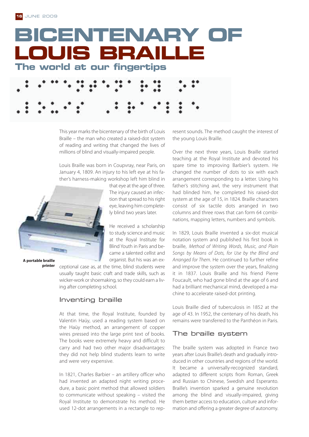

This year marks the bicentenary of the birth of Louis Braille – the man who created a raised-dot system of reading and writing that changed the lives of millions of blind and visually-impaired people.

Louis Braille was born in Coupvray, near Paris, on January 4, 1809. An injury to his left eye at his father's harness-making workshop left him blind in



**A portable braille printer** that eye at the age of three. The injury caused an infection that spread to his right eye, leaving him completely blind two years later.

He received a scholarship to study science and music at the Royal Institute for Blind Youth in Paris and became a talented cellist and organist. But his was an ex-

ceptional case as, at the time, blind students were usually taught basic craft and trade skills, such as wicker-work or shoemaking, so they could earn a living after completing school.

## Inventing braille

At that time, the Royal Institute, founded by Valentin Haüy, used a reading system based on the Haüy method, an arrangement of copper wires pressed into the large print text of books. The books were extremely heavy and difficult to carry and had two other major disadvantages: they did not help blind students learn to write and were very expensive.

In 1821, Charles Barbier – an artillery officer who had invented an adapted night writing procedure, a basic point method that allowed soldiers to communicate without speaking – visited the Royal Institute to demonstrate his method. He used 12-dot arrangements in a rectangle to represent sounds. The method caught the interest of the young Louis Braille.

Over the next three years, Louis Braille started teaching at the Royal Institute and devoted his spare time to improving Barbier's system. He changed the number of dots to six with each arrangement corresponding to a letter. Using his father's stitching awl, the very instrument that had blinded him, he completed his raised-dot system at the age of 15, in 1824. Braille characters consist of six tactile dots arranged in two columns and three rows that can form 64 combinations, mapping letters, numbers and symbols.

In 1829, Louis Braille invented a six-dot musical notation system and published his first book in braille, Method of Writing Words, Music, and Plain Songs by Means of Dots, for Use by the Blind and Arranged for Them. He continued to further refine and improve the system over the years, finalizing it in 1837. Louis Braille and his friend Pierre Foucault, who had gone blind at the age of 6 and had a brilliant mechanical mind, developed a machine to accelerate raised-dot printing.

Louis Braille died of tuberculosis in 1852 at the age of 43. In 1952, the centenary of his death, his remains were transferred to the Panthéon in Paris.

## The braille system

The braille system was adopted in France two years after Louis Braille's death and gradually introduced in other countries and regions of the world. It became a universally-recognized standard, adapted to different scripts from Roman, Greek and Russian to Chinese, Swedish and Esperanto. Braille's invention sparked a genuine revolution among the blind and visually-impaired, giving them better access to education, culture and information and offering a greater degree of autonomy.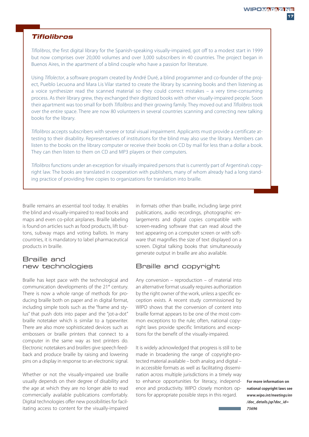## **Tiflolibros**

Tiflolibros, the first digital library for the Spanish-speaking visually-impaired, got off to a modest start in 1999 but now comprises over 20,000 volumes and over 3,000 subscribers in 40 countries. The project began in Buenos Aires, in the apartment of a blind couple who have a passion for literature.

Using Tiflolector, a software program created by André Duré, a blind programmer and co-founder of the project, Pueblo Lecuona and Mara Lis Vilar started to create the library by scanning books and then listening as a voice synthesizer read the scanned material so they could correct mistakes – a very time-consuming process. As their library grew, they exchanged their digitized books with other visually-impaired people. Soon their apartment was too small for both Tiflolibros and their growing family. They moved out and Tiflolibros took over the entire space. There are now 80 volunteers in several countries scanning and correcting new talking books for the library.

Tiflolibros accepts subscribers with severe or total visual impairment. Applicants must provide a certificate attesting to their disability. Representatives of institutions for the blind may also use the library. Members can listen to the books on the library computer or receive their books on CD by mail for less than a dollar a book. They can then listen to them on CD and MP3 players or their computers.

Tiflolibros functions under an exception for visually impaired persons that is currently part of Argentina's copyright law. The books are translated in cooperation with publishers, many of whom already had a long standing practice of providing free copies to organizations for translation into braille.

Braille remains an essential tool today. It enables the blind and visually-impaired to read books and maps and even co-pilot airplanes. Braille labeling is found on articles such as food products, lift buttons, subway maps and voting ballots. In many countries, it is mandatory to label pharmaceutical products in braille.

## Braille and new technologies

Braille has kept pace with the technological and communication developments of the 21<sup>st</sup> century. There is now a whole range of methods for producing braille both on paper and in digital format, including simple tools such as the "frame and stylus" that push dots into paper and the "jot-a-dot" braille notetaker which is similar to a typewriter. There are also more sophisticated devices such as embossers or braille printers that connect to a computer in the same way as text printers do. Electronic notetakers and braillers give speech feedback and produce braille by raising and lowering pins on a display in response to an electronic signal.

Whether or not the visually-impaired use braille usually depends on their degree of disability and the age at which they are no longer able to read commercially available publications comfortably. Digital technologies offer new possibilities for facilitating access to content for the visually-impaired

in formats other than braille, including large print publications, audio recordings, photographic enlargements and digital copies compatible with screen-reading software that can read aloud the text appearing on a computer screen or with software that magnifies the size of text displayed on a screen. Digital talking books that simultaneously generate output in braille are also available.

## Braille and copyright

Any conversion – reproduction – of material into an alternative format usually requires authorization by the right owner of the work, unless a specific exception exists. A recent study commissioned by WIPO shows that the conversion of content into braille format appears to be one of the most common exceptions to the rule; often, national copyright laws provide specific limitations and exceptions for the benefit of the visually-impaired.

It is widely acknowledged that progress is still to be made in broadening the range of copyright-protected material available – both analog and digital – in accessible formats as well as facilitating dissemination across multiple jurisdictions in a timely way to enhance opportunities for literacy, independence and productivity. WIPO closely monitors options for appropriate possible steps in this regard.

For more information on **national copyright laws see national copyright laws see** *www.wipo.int/meetings/en /doc\_details.jsp?doc\_id= 75696*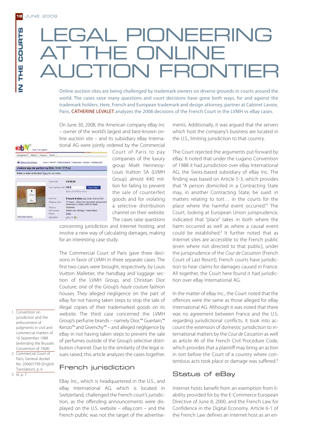**IN THE COURTS**

뿐.<br>도

Z

COURTS

# LEGAL PIONEERING THE ONLINE **AUCTION FRONT**

Online auction sites are being challenged by trademark owners on diverse grounds in courts around the world. The cases raise many questions and court decisions have gone both ways, for and against the trademark holders. Here, French and European trademark and design attorney, partner at Cabinet Lavoix, Paris, CATHERINE LEVALET analyzes the 2008 decisions of the French Court in the LVMH vs eBay cases.

On June 30, 2008, the American company eBay Inc – owner of the world's largest and best-known online auction site – and its subsidiary eBay International AG were jointly ordered by the Commercial



Court of Paris to pay companies of the luxury group Moët Hennessy-Louis Vuitton SA (LVMH Group) almost €40 million for failing to prevent the sale of counterfeit goods and for violating a selective distribution channel on their website. The cases raise questions

concerning jurisdiction and Internet hosting, and involve a new way of calculating damages, making for an interesting case study.

The Commercial Court of Paris gave three decisions in favor of LVMH in three separate cases. The first two cases were brought, respectively, by Louis Vuitton Malletier, the handbag and luggage section of the LVMH Group, and Christian Dior Couture, one of the Group's haute couture fashion houses. They alleged negligence on the part of eBay for not having taken steps to stop the sale of illegal copies of their trademarked goods on its website. The third case concerned the LVMH Group's perfume brands – namely Dior,™ Guerlain,™ Kenzo™ and Givenchy™ – and alleged negligence by eBay in not having taken steps to prevent the sale of perfumes outside of the Group's selective distribution channel. Due to the similarity of the legal issues raised, this article analyzes the cases together.

1 Convention on jurisdiction and the enforcement of judgments in civil and commercial matters of 16 September 1988 (extending the Brussels Convention of 1968)

2 Commercial Court of Paris, General docket No: 200607799 (English Translation), p. 6

 $3 \overline{Id}$ . p. 7

French jurisdiction

EBay Inc., which is headquartered in the U.S., and eBay International AG, which is located in Switzerland, challenged the French court's jurisdiction, as the offending announcements were displayed on the U.S. website – eBay.com – and the French public was not the target of the advertisements. Additionally, it was argued that the servers which host the company's business are located in the U.S., limiting jurisdiction to that country.

The Court rejected the arguments put forward by eBay. It noted that under the Lugano Convention of 1988 it had jurisdiction over eBay International AG, the Swiss-based subsidiary of eBay Inc. The finding was based on Article 5-3, which provides that "A person domiciled in a Contracting State may, in another Contracting State, be sued: in matters relating to tort… in the courts for the place where the harmful event occurred."<sup>1</sup> The Court, looking at European Union jurisprudence, indicated that "place" takes in both where the harm occurred as well as where a causal event could be established.<sup>2</sup> It further noted that as Internet sites are accessible to the French public (even where not directed to that public), under the jurisprudence of the Cour de Cassation (French Court of Last Resort), French courts have jurisdiction to hear claims for damages caused in France. All together, the Court here found it had jurisdiction over eBay International AG.

In the matter of eBay Inc., the Court noted that the offences were the same as those alleged for eBay International AG. Although it was noted that there was no agreement between France and the U.S. regarding jurisdictional conflicts, it took into account the extension of domestic jurisdiction to international matters by the Cour de Cassation as well as article 46 of the French Civil Procedure Code, which provides that a plaintiff may bring an action in tort before the Court of a country where contentious acts took place or damage was suffered.<sup>3</sup>

## Status of eBay

Internet hosts benefit from an exemption from liability provided for by the E-Commerce European Directive of June 8, 2000, and the French Law for Confidence in the Digital Economy. Article 6-1 of the French Law defines an Internet host as an en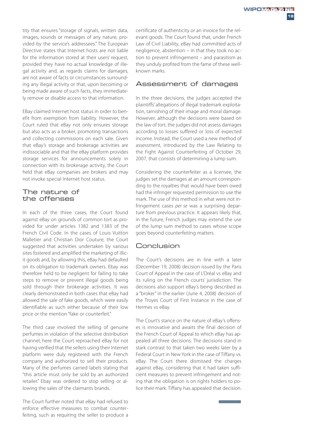tity that ensures "storage of signals, written data, images, sounds or messages of any nature, provided by the service's addressees." The European Directive states that Internet hosts are not liable for the information stored at their users' request, provided they have no actual knowledge of illegal activity and, as regards claims for damages, are not aware of facts or circumstances surrounding any illegal activity or that, upon becoming or being made aware of such facts, they immediately remove or disable access to that information.

EBay claimed Internet host status in order to benefit from exemption from liability. However, the Court ruled that eBay not only ensures storage but also acts as a broker, promoting transactions and collecting commissions on each sale. Given that eBay's storage and brokerage activities are indissociable and that the eBay platform provides storage services for announcements solely in connection with its brokerage activity, the Court held that eBay companies are brokers and may not invoke special Internet host status.

#### The nature of the offenses

In each of the three cases, the Court found against eBay on grounds of common tort as provided for under articles 1382 and 1383 of the French Civil Code. In the cases of Louis Vuitton Malletier and Christian Dior Couture, the Court suggested that activities undertaken by various sites fostered and amplified the marketing of illicit goods and, by allowing this, eBay had defaulted on its obligation to trademark owners. Ebay was therefore held to be negligent for failing to take steps to remove or prevent illegal goods being sold through their brokerage activities. It was clearly demonstrated in both cases that eBay had allowed the sale of fake goods, which were easily identifiable as such either because of their low price or the mention "fake or counterfeit."

The third case involved the selling of genuine perfumes in violation of the selective distribution channel; here the Court reproached eBay for not having verified that the sellers using their Internet platform were duly registered with the French company and authorized to sell their products. Many of the perfumes carried labels stating that "this article must only be sold by an authorized retailer." Ebay was ordered to stop selling or allowing the sales of the claimants brands.

The Court further noted that eBay had refused to enforce effective measures to combat counterfeiting, such as requiring the seller to produce a

certificate of authenticity or an invoice for the relevant goods. The Court found that, under French Law of Civil Liability, eBay had committed acts of negligence, abstention – in that they took no action to prevent infringement – and parasitism as they unduly profited from the fame of these wellknown marks.

#### Assessment of damages

In the three decisions, the judges accepted the plaintiffs' allegations of illegal trademark exploitation, tarnishing of their image and moral damage. However, although the decisions were based on the law of tort, the judges did not assess damages according to losses suffered or loss of expected income. Instead, the Court used a new method of assessment, introduced by the Law Relating to the Fight Against Counterfeiting of October 29, 2007, that consists of determining a lump sum.

Considering the counterfeiter as a licensee, the judges set the damages at an amount corresponding to the royalties that would have been owed had the infringer requested permission to use the mark. The use of this method in what were not infringement cases per se was a surprising departure from previous practice. It appears likely that, in the future, French judges may extend the use of the lump sum method to cases whose scope goes beyond counterfeiting matters.

## Conclusion

The Court's decisions are in line with a later (December 19, 2008) decision issued by the Paris Court of Appeal in the case of L'Oréal vs eBay and its ruling on the French courts' jurisdiction. The decisions also support eBay's being described as a "broker" in the earlier (June 4, 2008) decision of the Troyes Court of First Instance in the case of Hermes vs eBay.

The Court's stance on the nature of eBay's offenses is innovative and awaits the final decision of the French Court of Appeal to which eBay has appealed all three decisions. The decisions stand in stark contrast to that taken two weeks later by a Federal Court in New York in the case of Tiffany vs. eBay. The Court there dismissed the charges against eBay, considering that it had taken sufficient measures to prevent infringement and noting that the obligation is on rights holders to police their mark. Tiffany has appealed that decision.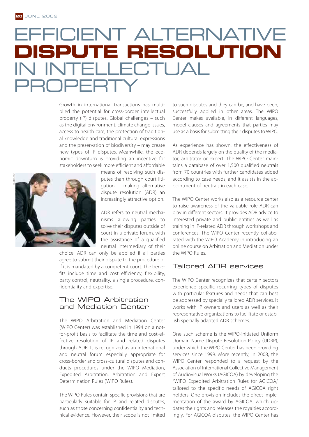## EFFICIENT ALTERNATIVE **DISPUTE RESOLUTION** IN INTELLECTUAL PROPFRT

Growth in international transactions has multiplied the potential for cross-border intellectual property (IP) disputes. Global challenges – such as the digital environment, climate change issues, access to health care, the protection of traditional knowledge and traditional cultural expressions and the preservation of biodiversity – may create new types of IP disputes. Meanwhile, the economic downturn is providing an incentive for stakeholders to seek more efficient and affordable



means of resolving such disputes than through court litigation – making alternative dispute resolution (ADR) an increasingly attractive option.

ADR refers to neutral mechanisms allowing parties to solve their disputes outside of court in a private forum, with the assistance of a qualified neutral intermediary of their

choice. ADR can only be applied if all parties agree to submit their dispute to the procedure or if it is mandated by a competent court. The benefits include time and cost efficiency, flexibility, party control, neutrality, a single procedure, confidentiality and expertise.

### The WIPO Arbitration and Mediation Center

The WIPO Arbitration and Mediation Center (WIPO Center) was established in 1994 on a notfor-profit basis to facilitate the time and cost-effective resolution of IP and related disputes through ADR. It is recognized as an international and neutral forum especially appropriate for cross-border and cross-cultural disputes and conducts procedures under the WIPO Mediation, Expedited Arbitration, Arbitration and Expert Determination Rules (WIPO Rules).

The WIPO Rules contain specific provisions that are particularly suitable for IP and related disputes, such as those concerning confidentiality and technical evidence. However, their scope is not limited

to such disputes and they can be, and have been, successfully applied in other areas. The WIPO Center makes available, in different languages, model clauses and agreements that parties may use as a basis for submitting their disputes to WIPO.

As experience has shown, the effectiveness of ADR depends largely on the quality of the mediator, arbitrator or expert. The WIPO Center maintains a database of over 1,500 qualified neutrals from 70 countries with further candidates added according to case needs, and it assists in the appointment of neutrals in each case.

The WIPO Center works also as a resource center to raise awareness of the valuable role ADR can play in different sectors. It provides ADR advice to interested private and public entities as well as training in IP-related ADR through workshops and conferences. The WIPO Center recently collaborated with the WIPO Academy in introducing an online course on Arbitration and Mediation under the WIPO Rules.

## Tailored ADR services

The WIPO Center recognizes that certain sectors experience specific recurring types of disputes with particular features and needs that can best be addressed by specially tailored ADR services. It works with IP owners and users as well as their representative organizations to facilitate or establish specially adapted ADR schemes.

One such scheme is the WIPO-initiated Uniform Domain Name Dispute Resolution Policy (UDRP), under which the WIPO Center has been providing services since 1999. More recently, in 2008, the WIPO Center responded to a request by the Association of International Collective Management of Audiovisual Works (AGICOA) by developing the "WIPO Expedited Arbitration Rules for AGICOA," tailored to the specific needs of AGICOA right holders. One provision includes the direct implementation of the award by AGICOA, which updates the rights and releases the royalties accordingly. For AGICOA disputes, the WIPO Center has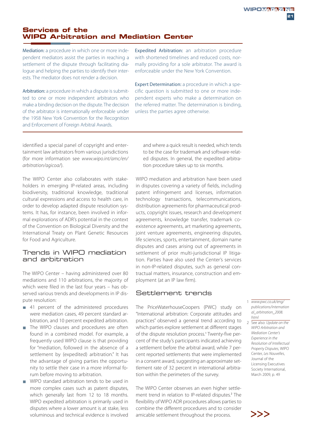## **Services of the WIPO Arbitration and Mediation Center**

Mediation: a procedure in which one or more independent mediators assist the parties in reaching a settlement of the dispute through facilitating dialogue and helping the parties to identify their interests. The mediator does not render a decision.

Arbitration: a procedure in which a dispute is submitted to one or more independent arbitrators who make a binding decision on the dispute. The decision of the arbitrator is internationally enforceable under the 1958 New York Convention for the Recognition and Enforcement of Foreign Arbitral Awards.

Expedited Arbitration: an arbitration procedure with shortened timelines and reduced costs, normally providing for a sole arbitrator. The award is enforceable under the New York Convention.

Expert Determination: a procedure in which a specific question is submitted to one or more independent experts who make a determination on the referred matter. The determination is binding, unless the parties agree otherwise.

identified a special panel of copyright and entertainment law arbitrators from various jurisdictions (for more information see www.wipo.int/amc/en/ arbitration/agicoa/).

The WIPO Center also collaborates with stakeholders in emerging IP-related areas, including biodiversity, traditional knowledge, traditional cultural expressions and access to health care, in order to develop adapted dispute resolution systems. It has, for instance, been involved in informal explorations of ADR's potential in the context of the Convention on Biological Diversity and the International Treaty on Plant Genetic Resources for Food and Agriculture.

### Trends in WIPO mediation and arbitration

The WIPO Center – having administered over 80 mediations and 110 arbitrations, the majority of which were filed in the last four years – has observed various trends and developments in IP dispute resolution:

- 41 percent of the administered procedures were mediation cases, 49 percent standard arbitration, and 10 percent expedited arbitration.
- The WIPO clauses and procedures are often found in a combined model. For example, a frequently used WIPO clause is that providing for "mediation, followed in the absence of a settlement by (expedited) arbitration." It has the advantage of giving parties the opportunity to settle their case in a more informal forum before moving to arbitration.
- WIPO standard arbitration tends to be used in more complex cases such as patent disputes, which generally last from 12 to 18 months. WIPO expedited arbitration is primarily used in disputes where a lower amount is at stake, less voluminous and technical evidence is involved

and where a quick result is needed, which tends to be the case for trademark and software-related disputes. In general, the expedited arbitration procedure takes up to six months.

WIPO mediation and arbitration have been used in disputes covering a variety of fields, including patent infringement and licenses, information technology transactions, telecommunications, distribution agreements for pharmaceutical products, copyright issues, research and development agreements, knowledge transfer, trademark coexistence agreements, art marketing agreements, joint venture agreements, engineering disputes, life sciences, sports, entertainment, domain name disputes and cases arising out of agreements in settlement of prior multi-jurisdictional IP litigation. Parties have also used the Center's services in non-IP-related disputes, such as general contractual matters, insurance, construction and employment (at an IP law firm).

## Settlement trends

The PriceWaterhouseCoopers (PWC) study on "International arbitration: Corporate attitudes and practices" observed a general trend according to which parties explore settlement at different stages of the dispute resolution process.<sup>1</sup> Twenty-five percent of the study's participants indicated achieving a settlement before the arbitral award, while 7 percent reported settlements that were implemented in a consent award, suggesting an approximate settlement rate of 32 percent in international arbitration within the perimeters of the survey.

The WIPO Center observes an even higher settlement trend in relation to IP-related disputes.<sup>2</sup> The flexibility of WIPO ADR procedures allows parties to combine the different procedures and to consider amicable settlement throughout the process.  $\sum$ 

- 1 www.pwc.co.uk/eng/ publications/internation al arbitration 2008. html
- 2 See also: Update on the WIPO Arbitration and Mediation Center's Experience in the Resolution of Intellectual Property Disputes, WIPO Center, Les Nouvelles, Journal of the Licensing Executives Society International, March 2009, p. 49

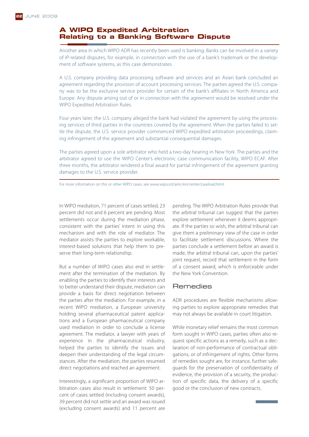### **A WIPO Expedited Arbitration Relating to a Banking Software Dispute**

Another area in which WIPO ADR has recently been used is banking. Banks can be involved in a variety of IP-related disputes, for example, in connection with the use of a bank's trademark or the development of software systems, as this case demonstrates.

A U.S. company providing data processing software and services and an Asian bank concluded an agreement regarding the provision of account processing services. The parties agreed the U.S. company was to be the exclusive service provider for certain of the bank's affiliates in North America and Europe. Any dispute arising out of or in connection with the agreement would be resolved under the WIPO Expedited Arbitration Rules.

Four years later, the U.S. company alleged the bank had violated the agreement by using the processing services of third parties in the countries covered by the agreement. When the parties failed to settle the dispute, the U.S. service provider commenced WIPO expedited arbitration proceedings, claiming infringement of the agreement and substantial consequential damages.

The parties agreed upon a sole arbitrator who held a two-day hearing in New York. The parties and the arbitrator agreed to use the WIPO Center's electronic case communication facility, WIPO ECAF. After three months, the arbitrator rendered a final award for partial infringement of the agreement granting damages to the U.S. service provider.

For more information on this or other WIPO cases, see www.wipo.int/amc/en/center/caseload.html.

In WIPO mediation, 71 percent of cases settled, 23 percent did not and 6 percent are pending. Most settlements occur during the mediation phase, consistent with the parties' intent in using this mechanism and with the role of mediator. The mediator assists the parties to explore workable, interest-based solutions that help them to preserve their long-term relationship.

But a number of WIPO cases also end in settlement after the termination of the mediation. By enabling the parties to identify their interests and to better understand their dispute, mediation can provide a basis for direct negotiation between the parties after the mediation. For example, in a recent WIPO mediation, a European university holding several pharmaceutical patent applications and a European pharmaceutical company used mediation in order to conclude a license agreement. The mediator, a lawyer with years of experience in the pharmaceutical industry, helped the parties to identify the issues and deepen their understanding of the legal circumstances. After the mediation, the parties resumed direct negotiations and reached an agreement.

Interestingly, a significant proportion of WIPO arbitration cases also result in settlement: 50 percent of cases settled (including consent awards), 39 percent did not settle and an award was issued (excluding consent awards) and 11 percent are

pending. The WIPO Arbitration Rules provide that the arbitral tribunal can suggest that the parties explore settlement whenever it deems appropriate. If the parties so wish, the arbitral tribunal can give them a preliminary view of the case in order to facilitate settlement discussions. Where the parties conclude a settlement before an award is made, the arbitral tribunal can, upon the parties' joint request, record that settlement in the form of a consent award, which is enforceable under the New York Convention.

#### **Remedies**

ADR procedures are flexible mechanisms allowing parties to explore appropriate remedies that may not always be available in court litigation.

While monetary relief remains the most common form sought in WIPO cases, parties often also request specific actions as a remedy, such as a declaration of non-performance of contractual obligations, or of infringement of rights. Other forms of remedies sought are, for instance, further safeguards for the preservation of confidentiality of evidence, the provision of a security, the production of specific data, the delivery of a specific good or the conclusion of new contracts.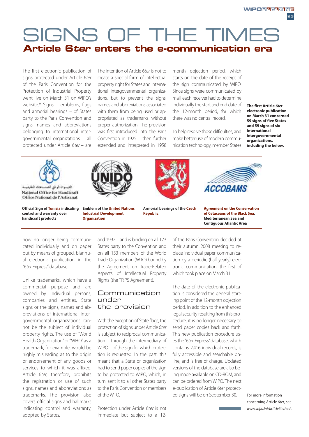## SIGNS OF THE TIMES **Article 6ter enters the e-communication era**

The first electronic publication of signs protected under Article 6ter of the Paris Convention for the Protection of Industrial Property went live on March 31 on WIPO's website.\* Signs – emblems, flags and armorial bearings – of States party to the Paris Convention and signs, names and abbreviations belonging to international intergovernmental organizations – all protected under Article 6ter – are

The intention of Article 6ter is not to create a special form of intellectual property right for States and international intergovernmental organizations, but to prevent the signs, names and abbreviations associated with them from being used or appropriated as trademarks without proper authorization. The provision was first introduced into the Paris Convention in 1925 – then further extended and interpreted in 1958

month objection period, which starts on the date of the receipt of the sign communicated by WIPO. Since signs were communicated by mail, each receiver had to determine individually the start and end date of the 12-month period, for which there was no central record.

To help resolve those difficulties, and make better use of modern communication technology, member States **The first Article 6***ter* **electronic publication on March 31 concerned 59 signs of five States and 59 signs of six international intergovernmental organizations, including the below.**



National Office for Handicraft Office National de l'Artisanat

**Official Sign of Tunisia indicating control and warranty over handicraft products**



**Emblem of the United Nations Industrial Development Organization**



**Armorial bearings of the Czech Republic**



**Agreement on the Conservation of Cetaceans of the Black Sea, Mediterranean Sea and Contiguous Atlantic Area**

now no longer being communicated individually and on paper but by means of grouped, biannual electronic publication in the "6ter Express" database.

Unlike trademarks, which have a commercial purpose and are owned by individual persons, companies and entities, State signs or the signs, names and abbreviations of international intergovernmental organizations cannot be the subject of individual property rights. The use of "World Health Organization" or "WHO" as a trademark, for example, would be highly misleading as to the origin or endorsement of any goods or services to which it was affixed. Article 6ter, therefore, prohibits the registration or use of such signs, names and abbreviations as trademarks. The provision also covers official signs and hallmarks indicating control and warranty, adopted by States.

and 1992 – and is binding on all 173 States party to the Convention and on all 153 members of the World Trade Organization (WTO) bound by the Agreement on Trade-Related Aspects of Intellectual Property Rights (the TRIPS Agreement).

#### Communication under the provision

With the exception of State flags, the protection of signs under Article 6ter is subject to reciprocal communication – through the intermediary of WIPO – of the sign for which protection is requested. In the past, this meant that a State or organization had to send paper copies of the sign to be protected to WIPO, which, in turn, sent it to all other States party to the Paris Convention or members of the WTO.

Protection under Article 6ter is not immediate but subject to a 12of the Paris Convention decided at their autumn 2008 meeting to replace individual paper communication by a periodic (half yearly) electronic communication, the first of which took place on March 31.

The date of the electronic publication is considered the general starting point of the 12-month objection period. In addition to the enhanced legal security resulting from this procedure, it is no longer necessary to send paper copies back and forth. This new publication procedure uses the "6ter Express" database, which contains 2,416 individual records, is fully accessible and searchable online, and is free of charge. Updated versions of the database are also being made available on CD-ROM, and can be ordered from WIPO. The next e-publication of Article 6ter protected signs will be on September 30. For more information

concerning Article 6ter, see www.wipo.int/article6ter/en/.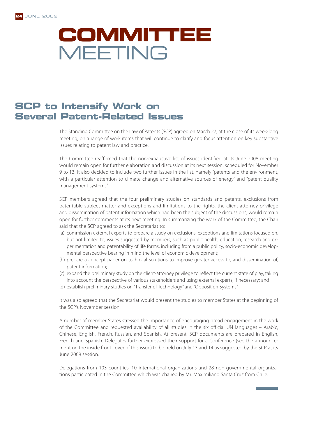

## **SCP to Intensify Work on Several Patent-Related Issues**

The Standing Committee on the Law of Patents (SCP) agreed on March 27, at the close of its week-long meeting, on a range of work items that will continue to clarify and focus attention on key substantive issues relating to patent law and practice.

The Committee reaffirmed that the non-exhaustive list of issues identified at its June 2008 meeting would remain open for further elaboration and discussion at its next session, scheduled for November 9 to 13. It also decided to include two further issues in the list, namely "patents and the environment, with a particular attention to climate change and alternative sources of energy" and "patent quality management systems."

SCP members agreed that the four preliminary studies on standards and patents, exclusions from patentable subject matter and exceptions and limitations to the rights, the client-attorney privilege and dissemination of patent information which had been the subject of the discussions, would remain open for further comments at its next meeting. In summarizing the work of the Committee, the Chair said that the SCP agreed to ask the Secretariat to:

- (a) commission external experts to prepare a study on exclusions, exceptions and limitations focused on, but not limited to, issues suggested by members, such as public health, education, research and experimentation and patentability of life forms, including from a public policy, socio-economic developmental perspective bearing in mind the level of economic development;
- (b) prepare a concept paper on technical solutions to improve greater access to, and dissemination of, patent information;
- (c) expand the preliminary study on the client-attorney privilege to reflect the current state of play, taking into account the perspective of various stakeholders and using external experts, if necessary; and
- (d) establish preliminary studies on "Transfer of Technology" and "Opposition Systems."

It was also agreed that the Secretariat would present the studies to member States at the beginning of the SCP's November session.

A number of member States stressed the importance of encouraging broad engagement in the work of the Committee and requested availability of all studies in the six official UN languages – Arabic, Chinese, English, French, Russian, and Spanish. At present, SCP documents are prepared in English, French and Spanish. Delegates further expressed their support for a Conference (see the announcement on the inside front cover of this issue) to be held on July 13 and 14 as suggested by the SCP at its June 2008 session.

Delegations from 103 countries, 10 international organizations and 28 non-governmental organizations participated in the Committee which was chaired by Mr. Maximiliano Santa Cruz from Chile.

**Contract Contract Contract**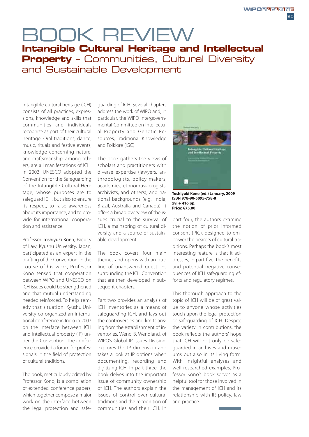## BOOK REVIEW **Intangible Cultural Heritage and Intellectual Property** – Communities, Cultural Diversity and Sustainable Development

Intangible cultural heritage (ICH) consists of all practices, expressions, knowledge and skills that communities and individuals recognize as part of their cultural heritage. Oral traditions, dance, music, rituals and festive events, knowledge concerning nature, and craftsmanship, among others, are all manifestations of ICH. In 2003, UNESCO adopted the Convention for the Safeguarding of the Intangible Cultural Heritage, whose purposes are to safeguard ICH, but also to ensure its respect, to raise awareness about its importance, and to provide for international cooperation and assistance.

Professor Toshiyuki Kono, Faculty of Law, Kyushu University, Japan, participated as an expert in the drafting of the Convention. In the course of his work, Professor Kono sensed that cooperation between WIPO and UNESCO on ICH issues could be strengthened and that mutual understanding needed reinforced. To help remedy that situation, Kyushu University co-organized an international conference in India in 2007 on the interface between ICH and intellectual property (IP) under the Convention. The conference provided a forum for professionals in the field of protection of cultural traditions.

The book, meticulously edited by Professor Kono, is a compilation of extended conference papers, which together compose a major work on the interface between the legal protection and safe-

guarding of ICH. Several chapters address the work of WIPO and, in particular, the WIPO Intergovernmental Committee on Intellectual Property and Genetic Resources, Traditional Knowledge and Folklore (IGC)

The book gathers the views of scholars and practitioners with diverse expertise (lawyers, anthropologists, policy makers, academics, ethnomusicologists, archivists, and others), and national backgrounds (e.g., India, Brazil, Australia and Canada). It offers a broad overview of the issues crucial to the survival of ICH, a mainspring of cultural diversity and a source of sustainable development.

The book covers four main themes and opens with an outline of unanswered questions surrounding the ICH Convention that are then developed in subsequent chapters.

Part two provides an analysis of ICH inventories as a means of safeguarding ICH, and lays out the controversies and limits arising from the establishment of inventories. Wend B. Wendland, of WIPO's Global IP Issues Division, explores the IP dimension and takes a look at IP options when documenting, recording and digitizing ICH. In part three, the book delves into the important issue of community ownership of ICH. The authors explain the issues of control over cultural traditions and the recognition of communities and their ICH. In



**Toshiyuki Kono (ed.) January, 2009 ISBN 978-90-5095-758-8 xvi + 416 pp. Price: €75.00**

part four, the authors examine the notion of prior informed consent (PIC), designed to empower the bearers of cultural traditions. Perhaps the book's most interesting feature is that it addresses, in part five, the benefits and potential negative consequences of ICH safeguarding efforts and regulatory regimes.

This thorough approach to the topic of ICH will be of great value to anyone whose activities touch upon the legal protection or safeguarding of ICH. Despite the variety in contributions, the book reflects the authors' hope that ICH will not only be safeguarded in archives and museums but also in its living form. With insightful analyses and well-researched examples, Professor Kono's book serves as a helpful tool for those involved in the management of ICH and its relationship with IP, policy, law and practice.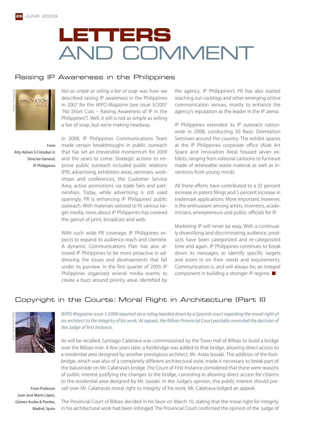# **LETTERS** AND COMMENT

### Raising IP Awareness in the Philippines



Not as simple as selling a bar of soap was how we described raising IP awareness in the Philippines in 2007 for the WIPO Magazine (see issue 5/2007 "No Short Cuts – Raising Awareness of IP in the Philippines"). Well, it still is not as simple as selling a bar of soap, but we're making headway.

From Atty Adrian S Cristobal Jr, Director General, IP Philippines

In 2008, IP Philippines Communications Team made certain breakthroughs in public outreach that has set an irreversible momentum for 2009 and the years to come. Strategic actions to improve public outreach included public relations (PR), advertising, exhibition areas, seminars, workshops and conferences, the Customer Service Area, active promotions via trade fairs and partnerships. Today, while advertising is still used sparingly, PR is enhancing IP Philippines' public outreach. With materials tailored to fit various target media, news about IP Philippines has covered the gamut of print, broadcast and web.

With such wide PR coverage, IP Philippines expects to expand its audience reach and clientele. A dynamic Communications Plan has also allowed IP Philippines to be more proactive in addressing the issues and developments that fall under its purview. In the first quarter of 2009, IP Philippines organized several media events to create a buzz around priority areas identified by

the agency. IP Philippines's PR has also started reaching out via blogs and other emerging online communication venues, mostly to enhance the agency's reputation as the leader in the IP arena.

IP Philippines extended its IP outreach nationwide in 2008, conducting 50 Basic Orientation Seminars around the country. The exhibit spaces at the IP Philippines corporate office (Alab Art Space and Innovation Area) housed seven exhibits, ranging from editorial cartoons to furniture made of renewable waste material as well as inventions from young minds.

All these efforts have contributed to a 32 percent increase in patent filings and 5 percent increase in trademark applications. More important, however, is the enthusiasm among artists, inventors, academicians, entrepreneurs and public officials for IP.

Marketing IP will never be easy. With a continually diversifying and discriminating audience, products have been categorized and re-categorized time and again. IP Philippines continues to break down its messages, to identify specific targets and zoom in on their needs and requirements. Communication is, and will always be, an integral component in building a stronger IP regime.

## Copyright in the Courts: Moral Right in Architecture (Part II)



WIPO Magazine issue 1/2008 reported on a ruling handed down by a Spanish court regarding the moral right of an architect to the integrity of his work. At appeal, the Bilbao Provincial Court partially overruled the decision of the Judge of first instance.

As will be recalled, Santiago Calatrava was commissioned by the Town Hall of Bilbao to build a bridge over the Bilbao river. A few years later, a footbridge was added to that bridge, allowing direct access to a residential area designed by another prestigious architect, Mr. Arata Isozaki. The addition of the footbridge, which was also of a completely different architectural style, made it necessary to break part of the balustrade on Mr. Calatrava's bridge. The Court of First Instance considered that there were reasons of public interest justifying the changes to the bridge, consisting in allowing direct access for citizens to the residential area designed by Mr. Isozaki. In the Judge's opinion, this public interest should prevail over Mr. Calatrava's moral right to integrity of his work. Mr. Calatrava lodged an appeal.

From Professor Juan José Marín López, Gómez-Acebo & Pombo, Madrid, Spain

The Provincial Court of Bilbao decided in his favor on March 10, stating that the moral right for integrity in his architectural work had been infringed. The Provincial Court confirmed the opinion of the Judge of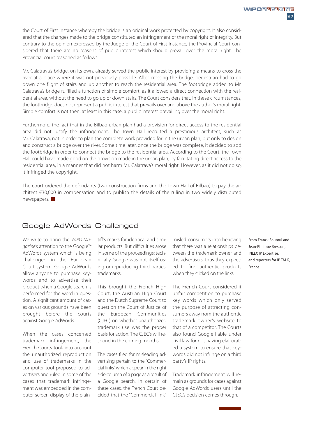the Court of First Instance whereby the bridge is an original work protected by copyright. It also considered that the changes made to the bridge constituted an infringement of the moral right of integrity. But contrary to the opinion expressed by the Judge of the Court of First Instance, the Provincial Court considered that there are no reasons of public interest which should prevail over the moral right. The Provincial court reasoned as follows:

Mr. Calatrava's bridge, on its own, already served the public interest by providing a means to cross the river at a place where it was not previously possible. After crossing the bridge, pedestrian had to go down one flight of stairs and up another to reach the residential area. The footbridge added to Mr. Calatrava's bridge fulfilled a function of simple comfort, as it allowed a direct connection with the residential area, without the need to go up or down stairs. The Court considers that, in these circumstances, the footbridge does not represent a public interest that prevails over and above the author's moral right. Simple comfort is not then, at least in this case, a public interest prevailing over the moral right.

Furthermore, the fact that in the Bilbao urban plan had a provision for direct access to the residential area did not justify the infringement. The Town Hall recruited a prestigious architect, such as Mr. Calatrava, not in order to plan the complete work provided for in the urban plan, but only to design and construct a bridge over the river. Some time later, once the bridge was complete, it decided to add the footbridge in order to connect the bridge to the residential area. According to the Court, the Town Hall could have made good on the provision made in the urban plan, by facilitating direct access to the residential area, in a manner that did not harm Mr. Calatrava's moral right. However, as it did not do so, it infringed the copyright.

The court ordered the defendants (two construction firms and the Town Hall of Bilbao) to pay the architect €30,000 in compensation and to publish the details of the ruling in two widely distributed newspapers.

## Google AdWords Challenged

We write to bring the WIPO Magazine's attention to the Google™ AdWords system which is being challenged in the European Court system. Google AdWords allow anyone to purchase keywords and to advertise their product when a Google search is performed for the word in question. A significant amount of cases on various grounds have been brought before the courts against Google AdWords.

When the cases concerned trademark infringement, the French Courts took into account the unauthorized reproduction and use of trademarks in the computer tool proposed to advertisers and ruled in some of the cases that trademark infringement was embedded in the computer screen display of the plain-

tiff's marks for identical and similar products. But difficulties arose in some of the proceedings: technically Google was not itself using or reproducing third parties' trademarks.

This brought the French High Court, the Austrian High Court and the Dutch Supreme Court to question the Court of Justice of the European Communities (CJEC) on whether unauthorized trademark use was the proper basis for action. The CJEC's will respond in the coming months.

The cases filed for misleading advertising pertain to the "Commercial links" which appear in the right side column of a page as a result of a Google search. In certain of these cases, the French Court decided that the "Commercial link"

misled consumers into believing that there was a relationships between the trademark owner and the advertisers, thus they expected to find authentic products when they clicked on the links.

The French Court considered it unfair competition to purchase key words which only served the purpose of attracting consumers away from the authentic trademark owner's website to that of a competitor. The Courts also found Google liable under civil law for not having elaborated a system to ensure that keywords did not infringe on a third party's IP rights.

Trademark infringement will remain as grounds for cases against Google AdWords users until the CJEC's decision comes through.

From Franck Soutoul and Jean-Philippe Bresson, INLEX IP Expertise, and reporters for IP TALK, France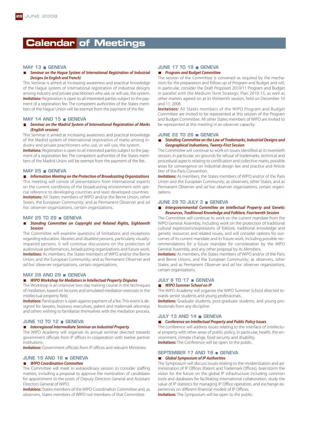## **Calendar of Meetings**

#### **MAY 13 GENEVA**

#### *Seminar on the Hague System of International Registration of Industrial Designs (in English and French)*

This Seminar is aimed at increasing awareness and practical knowledge of the Hague system of international registration of industrial designs among industry and private practitioners who use, or will use, the system. **Invitations:** Registration is open to all interested parties subject to the payment of a registration fee. The competent authorities of the States members of the Hague Union will be exempt from the payment of the fee.

#### **MAY 14 AND 15 GENEVA**

#### *Seminar on the Madrid System of International Registration of Marks (English session)*

This Seminar is aimed at increasing awareness and practical knowledge of the Madrid system of international registration of marks among industry and private practitioners who use, or will use, the system. **Invitations:** Registration is open to all interested parties subject to the payment of a registration fee. The competent authorities of the States members of the Madrid Union will be exempt from the payment of the fee.

#### **MAY 25 GENEVA**

#### *Information Meeting on the Protection of Broadcasting Organizations*

This meeting will consist of presentations from international experts on the current conditions of the broadcasting environment with special reference to developing countries and least developed countries. *Invitations:* All States members of WIPO and/or the Berne Union, other States, the European Community; and as Permanent Observer and ad hoc observer organizations, certain organizations.

#### **MAY 25 TO 29 GENEVA**

#### *Standing Committee on Copyright and Related Rights, Eighteenth*  $\Box$ *Session*

The Committee will examine questions of limitations and exceptions regarding education, libraries and disabled persons, particularly visuallyimpaired persons. It will continue discussions on the protection of audiovisual performances, broadcasting organizations and future work. *Invitations:* As members, the States members of WIPO and/or the Berne Union, and the European Community; and as Permanent Observer and ad hoc observer organizations, certain organizations.

#### **MAY 28 AND 29 GENEVA**

#### *WIPO Workshop for Mediators in Intellectual Property Disputes*

The Workshop is an intensive two-day training course in the techniques of mediation, based on lectures and simulated mediation exercises in the intellectual property field.

**Invitations:** Participation is open against payment of a fee. This event is designed for lawyers, business executives, patent and trademark attorneys and others wishing to familiarize themselves with the mediation process.

#### **JUNE 10 TO 12 GENEVA**

#### *Interregional Intermediate Seminar on Industrial Property*

The WIPO Academy will organize its annual seminar directed towards government officials from IP offices in cooperation with twelve partner institutions.

*Invitations:* Government officials from IP offices and relevant Ministries.

#### **JUNE 15 AND 16 GENEVA**

#### *WIPO Coordination Committee*

The Committee will meet in extraordinary session to consider staffing matters, including a proposal to approve the nomination of candidates for appointment to the posts of Deputy Directors General and Assistant Directors General of WIPO.

**Invitations:** States members of the WIPO Coordination Committee and, as observers, States members of WIPO not members of that Committee.

#### **JUNE 17 TO 19 GENEVA** *Program and Budget Committee*

The session of the Committee is convened as required by the mechanism for the preparation and follow-up of Program and Budget and will, in particular, consider the Draft Proposed 2010/11 Program and Budget in parallel with the Medium-Term Strategic Plan 2010-15, as well as other matters agreed on at its thirteenth session, held on December 10 and 11, 2008.

**Invitations:** All States members of the WIPO Program and Budget Committee are invited to be represented at this session of the Program and Budget Committee. All other States members of WIPO are invited to be represented at this meeting in an observer capacity.

#### **JUNE 22 TO 26 GENEVA**

#### *Standing Committee on the Law of Trademarks, Industrial Designs and*  $\blacksquare$ *Geographical Indications, Twenty-First Session*

The Committee will continue to work on issues identified at its twentieth session, in particular, on grounds for refusal of trademarks, technical and procedural aspects relating to certification and collective marks, possible areas for convergence on industrial design law and practice and Article 6ter of the Paris Convention.

**Invitations:** As members, the States members of WIPO and/or of the Paris Union and the European Community; as observers, other States; and as Permanent Observer and ad hoc observer organizations, certain organizations.

#### **JUNE 29 TO JULY 3 GENEVA**

#### *Intergovernmental Committee on Intellectual Property and Genetic Resources, Traditional Knowledge and Folklore, Fourteenth Session*

The Committee will continue its work on the current mandate from the WIPO General Assembly, including work on the protection of traditional cultural expressions/expressions of folklore, traditional knowledge and genetic resources and related issues, and will consider options for outcomes of its current mandate and its future work, including possible recommendations for a future mandate for consideration by the WIPO General Assembly, and any other proposal by its Members.

**Invitations:** As members, the States members of WIPO and/or of the Paris and Berne Unions, and the European Community; as observers, other States; and as Permanent Observer and ad hoc observer organizations, certain organizations.

#### **JULY 6 TO 17 GENEVA**

#### *WIPO Summer School on IP*

The WIPO Academy will organize the WIPO Summer School directed towards senior students and young professionals.

**Invitations:** Graduate students, post-graduate students, and young professionals from any discipline.

#### **JULY 13 AND 14 GENEVA**

#### *Conference on Intellectual Property and Public Policy Issues*

The conference will address issues relating to the interface of intellectual property with other areas of public policy, in particular, health, the environment, climate change, food security and disability. **Invitations:** The Conference will be open to the public.

#### **SEPTEMBER 17 AND 18 GENEVA** *Global Symposium of IP Authorities*

The Symposium will discuss issues relating to the modernization and administration of IP Offices (Patent and Trademark Offices), brainstorm the vision for the future on the global IP infrastructure including common tools and databases for facilitating international collaboration, study the value of IP statistics for managing IP Office operation, and exchange experiences on different financial models of IP Offices.

**Invitations:** The Symposium will be open to the public.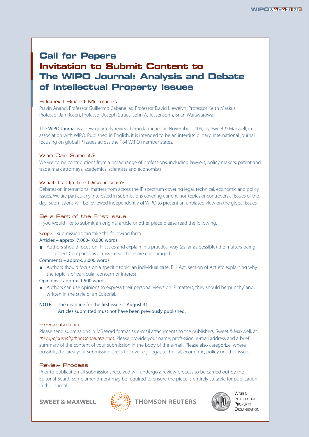## **Call for Papers Invitation to Submit Content to The WIPO Journal: Analysis and Debate of Intellectual Property Issues**

#### Editorial Board Members

Pravin Anand, Professor Guillermo Cabanellas, Professor David Llewelyn, Professor Keith Maskus, Professor Jan Rosen, Professor Joseph Straus, John A. Tessensohn, Brian Wafawarowa

The WIPO Journal is a new quarterly review being launched in November 2009, by Sweet & Maxwell, in association with WIPO. Published in English, it is intended to be an interdisciplinary, international journal focusing on global IP issues across the 184 WIPO member states.

#### Who Can Submit?

We welcome contributions from a broad range of professions, including lawyers, policy makers, patent and trade mark attorneys, academics, scientists and economists.

#### What Is Up for Discussion?

Debates on international matters from across the IP spectrum covering legal, technical, economic and policy issues. We are particularly interested in submissions covering current 'hot' topics or controversial issues of the day. Submissions will be reviewed independently of WIPO to present an unbiased view on the global issues.

#### Be a Part of the First Issue

If you would like to submit an original article or other piece please read the following.

#### Scope – submissions can take the following form:

#### Articles – approx. 7,000-10,000 words

Authors should focus on IP issues and explain in a practical way (as far as possible) the matters being discussed. Comparisons across jurisdictions are encouraged.

#### Comments – approx. 3,000 words

Authors should focus on a specific topic, an individual case, Bill, Act, section of Act etc explaining why the topic is of particular concern or interest.

#### Opinions – approx. 1,500 words

Authors can use opinions to express their personal views on IP matters, they should be 'punchy' and written in the style of an Editorial.

#### **NOTE:** The deadline for the first issue is August 31. Articles submitted must not have been previously published.

#### Presentation

Please send submissions in MS Word format as e-mail attachments to the publishers, Sweet & Maxwell, at: thewipojournal@thomsonreuters.com. Please provide your name, profession, e-mail address and a brief summary of the content of your submission in the body of the e-mail. Please also categorize, where possible, the area your submission seeks to cover e.g. legal, technical, economic, policy or other issue.

#### Review Process

Prior to publication all submissions received will undergo a review process to be carried out by the Editorial Board. Some amendment may be required to ensure the piece is entirely suitable for publication in the journal.

**SWEET & MAXWELL** 







**WORLD INTELLECTUAL** PROPERTY **ORGANIZATION**